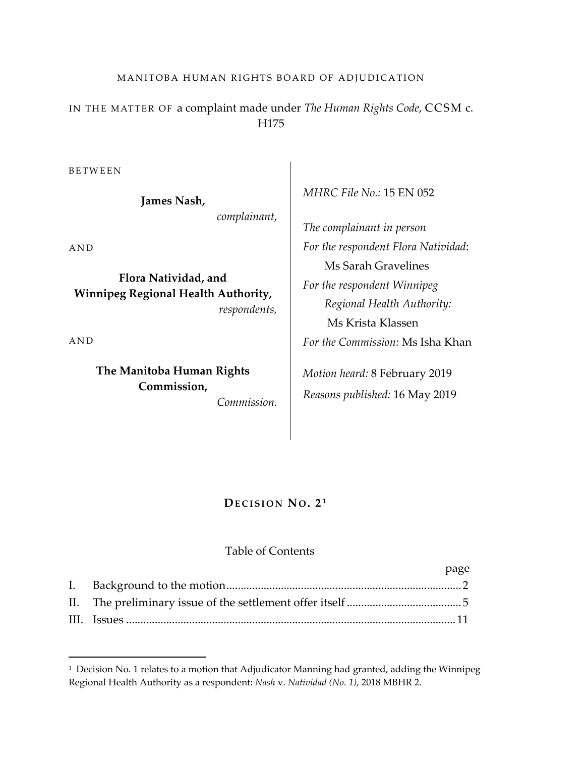# MANITOBA HUMAN RIGHTS BOARD OF ADJUDICATION

IN THE MATTER OF a complaint made under *The Human Rights Code*, CCSM c. H175

BETWEEN

**James Nash,** 

*complainant*,

AND

**Flora Natividad, and Winnipeg Regional Health Authority,** *respondents,*

AND

 $\overline{\phantom{a}}$ 

**The Manitoba Human Rights Commission,**

*Commission.*

*MHRC File No.:* 15 EN 052

*The complainant in person For the respondent Flora Natividad*: Ms Sarah Gravelines *For the respondent Winnipeg Regional Health Authority:* Ms Krista Klassen *For the Commission:* Ms Isha Khan *Motion heard:* 8 February 2019

*Reasons published:* 16 May 2019

## **DECISION NO . 2 <sup>1</sup>**

#### Table of Contents

|  | page |
|--|------|
|  |      |
|  |      |
|  |      |

<sup>&</sup>lt;sup>1</sup> Decision No. 1 relates to a motion that Adjudicator Manning had granted, adding the Winnipeg Regional Health Authority as a respondent: *Nash* v. *Natividad (No. 1)*, 2018 MBHR 2.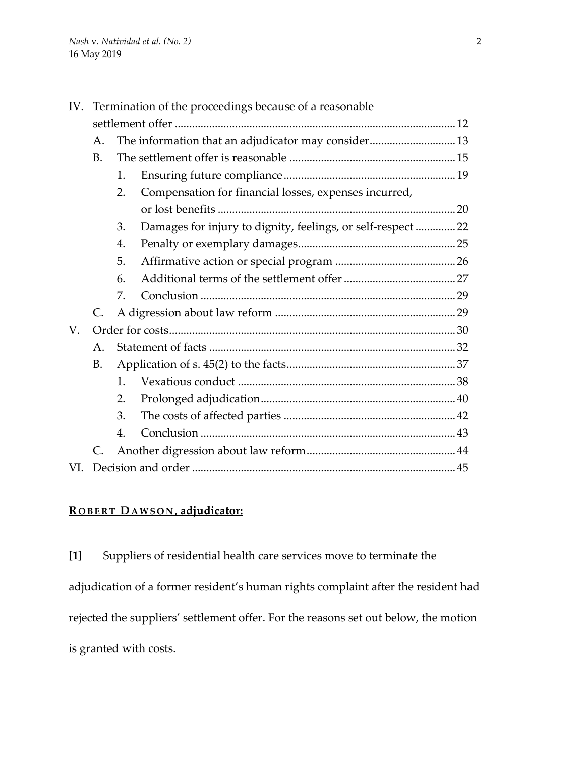|     | IV. Termination of the proceedings because of a reasonable |              |                                                              |  |  |
|-----|------------------------------------------------------------|--------------|--------------------------------------------------------------|--|--|
|     |                                                            |              |                                                              |  |  |
|     | A.                                                         |              | The information that an adjudicator may consider 13          |  |  |
|     | <b>B.</b>                                                  |              |                                                              |  |  |
|     |                                                            | 1.           |                                                              |  |  |
|     |                                                            | 2.           | Compensation for financial losses, expenses incurred,        |  |  |
|     |                                                            |              |                                                              |  |  |
|     |                                                            | 3.           | Damages for injury to dignity, feelings, or self-respect  22 |  |  |
|     |                                                            | 4.           |                                                              |  |  |
|     |                                                            | 5.           |                                                              |  |  |
|     |                                                            | 6.           |                                                              |  |  |
|     |                                                            | 7.           |                                                              |  |  |
|     | $C_{\cdot}$                                                |              |                                                              |  |  |
| V.  |                                                            |              |                                                              |  |  |
|     | А.                                                         |              |                                                              |  |  |
|     | <b>B.</b>                                                  |              |                                                              |  |  |
|     |                                                            | $\mathbf{1}$ |                                                              |  |  |
|     |                                                            | 2.           |                                                              |  |  |
|     |                                                            | 3.           |                                                              |  |  |
|     |                                                            | 4.           |                                                              |  |  |
|     | C.                                                         |              |                                                              |  |  |
| VI. |                                                            |              |                                                              |  |  |

# **R OBERT DAWSON , adjudicator:**

**[1]** Suppliers of residential health care services move to terminate the adjudication of a former resident's human rights complaint after the resident had rejected the suppliers' settlement offer. For the reasons set out below, the motion is granted with costs.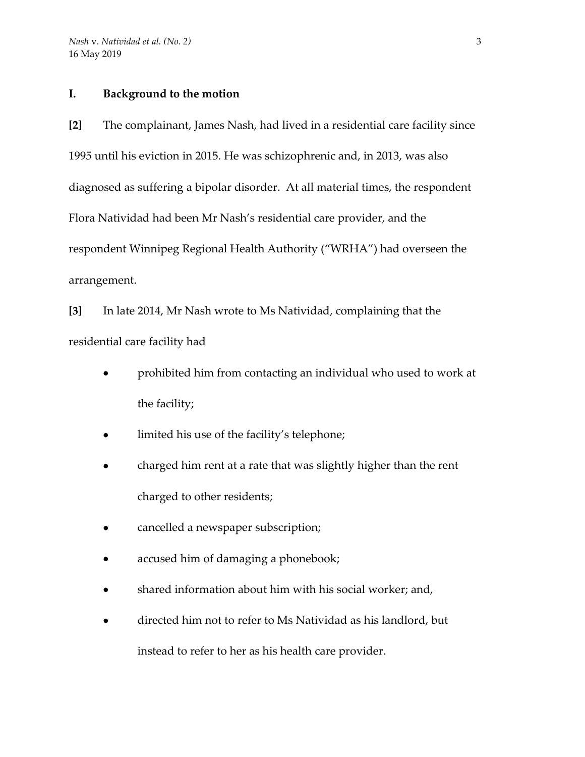## **I. Background to the motion**

**[2]** The complainant, James Nash, had lived in a residential care facility since 1995 until his eviction in 2015. He was schizophrenic and, in 2013, was also diagnosed as suffering a bipolar disorder. At all material times, the respondent Flora Natividad had been Mr Nash's residential care provider, and the respondent Winnipeg Regional Health Authority ("WRHA") had overseen the arrangement.

**[3]** In late 2014, Mr Nash wrote to Ms Natividad, complaining that the residential care facility had

- prohibited him from contacting an individual who used to work at the facility;
- limited his use of the facility's telephone;
- charged him rent at a rate that was slightly higher than the rent charged to other residents;
- cancelled a newspaper subscription;
- accused him of damaging a phonebook;
- shared information about him with his social worker; and,
- directed him not to refer to Ms Natividad as his landlord, but instead to refer to her as his health care provider.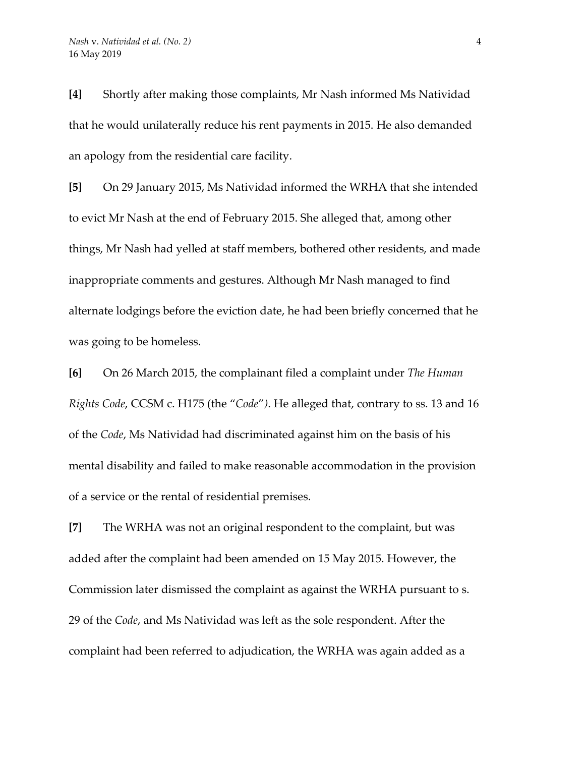**[4]** Shortly after making those complaints, Mr Nash informed Ms Natividad that he would unilaterally reduce his rent payments in 2015. He also demanded an apology from the residential care facility.

**[5]** On 29 January 2015, Ms Natividad informed the WRHA that she intended to evict Mr Nash at the end of February 2015. She alleged that, among other things, Mr Nash had yelled at staff members, bothered other residents, and made inappropriate comments and gestures. Although Mr Nash managed to find alternate lodgings before the eviction date, he had been briefly concerned that he was going to be homeless.

**[6]** On 26 March 2015, the complainant filed a complaint under *The Human Rights Code*, CCSM c. H175 (the "*Code*"*)*. He alleged that, contrary to ss. 13 and 16 of the *Code*, Ms Natividad had discriminated against him on the basis of his mental disability and failed to make reasonable accommodation in the provision of a service or the rental of residential premises.

**[7]** The WRHA was not an original respondent to the complaint, but was added after the complaint had been amended on 15 May 2015. However, the Commission later dismissed the complaint as against the WRHA pursuant to s. 29 of the *Code*, and Ms Natividad was left as the sole respondent. After the complaint had been referred to adjudication, the WRHA was again added as a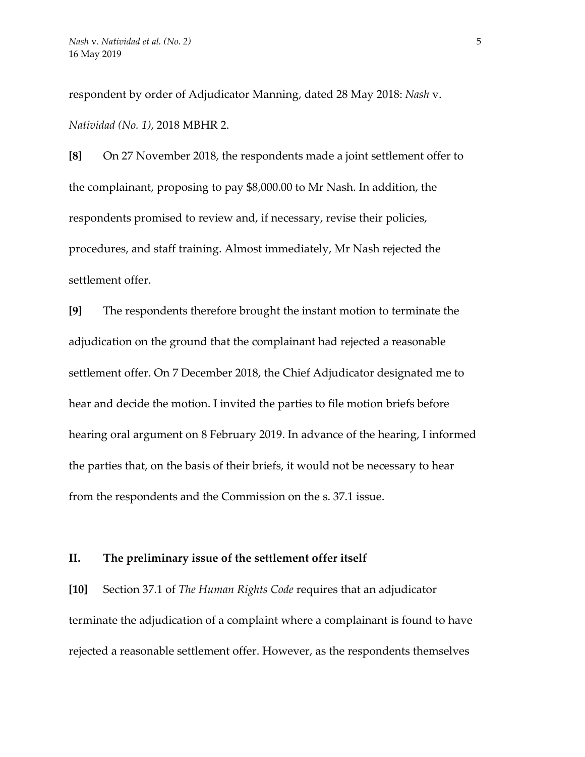respondent by order of Adjudicator Manning, dated 28 May 2018: *Nash* v. *Natividad (No. 1)*, 2018 MBHR 2.

**[8]** On 27 November 2018, the respondents made a joint settlement offer to the complainant, proposing to pay \$8,000.00 to Mr Nash. In addition, the respondents promised to review and, if necessary, revise their policies, procedures, and staff training. Almost immediately, Mr Nash rejected the settlement offer.

**[9]** The respondents therefore brought the instant motion to terminate the adjudication on the ground that the complainant had rejected a reasonable settlement offer. On 7 December 2018, the Chief Adjudicator designated me to hear and decide the motion. I invited the parties to file motion briefs before hearing oral argument on 8 February 2019. In advance of the hearing, I informed the parties that, on the basis of their briefs, it would not be necessary to hear from the respondents and the Commission on the s. 37.1 issue.

# **II. The preliminary issue of the settlement offer itself**

**[10]** Section 37.1 of *The Human Rights Code* requires that an adjudicator terminate the adjudication of a complaint where a complainant is found to have rejected a reasonable settlement offer. However, as the respondents themselves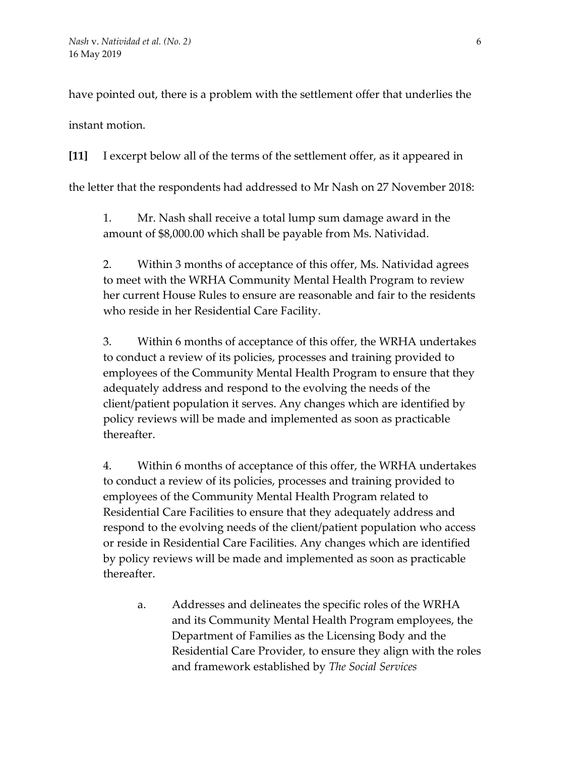have pointed out, there is a problem with the settlement offer that underlies the

instant motion.

**[11]** I excerpt below all of the terms of the settlement offer, as it appeared in the letter that the respondents had addressed to Mr Nash on 27 November 2018:

1. Mr. Nash shall receive a total lump sum damage award in the amount of \$8,000.00 which shall be payable from Ms. Natividad.

2. Within 3 months of acceptance of this offer, Ms. Natividad agrees to meet with the WRHA Community Mental Health Program to review her current House Rules to ensure are reasonable and fair to the residents who reside in her Residential Care Facility.

3. Within 6 months of acceptance of this offer, the WRHA undertakes to conduct a review of its policies, processes and training provided to employees of the Community Mental Health Program to ensure that they adequately address and respond to the evolving the needs of the client/patient population it serves. Any changes which are identified by policy reviews will be made and implemented as soon as practicable thereafter.

4. Within 6 months of acceptance of this offer, the WRHA undertakes to conduct a review of its policies, processes and training provided to employees of the Community Mental Health Program related to Residential Care Facilities to ensure that they adequately address and respond to the evolving needs of the client/patient population who access or reside in Residential Care Facilities. Any changes which are identified by policy reviews will be made and implemented as soon as practicable thereafter.

a. Addresses and delineates the specific roles of the WRHA and its Community Mental Health Program employees, the Department of Families as the Licensing Body and the Residential Care Provider, to ensure they align with the roles and framework established by *The Social Services*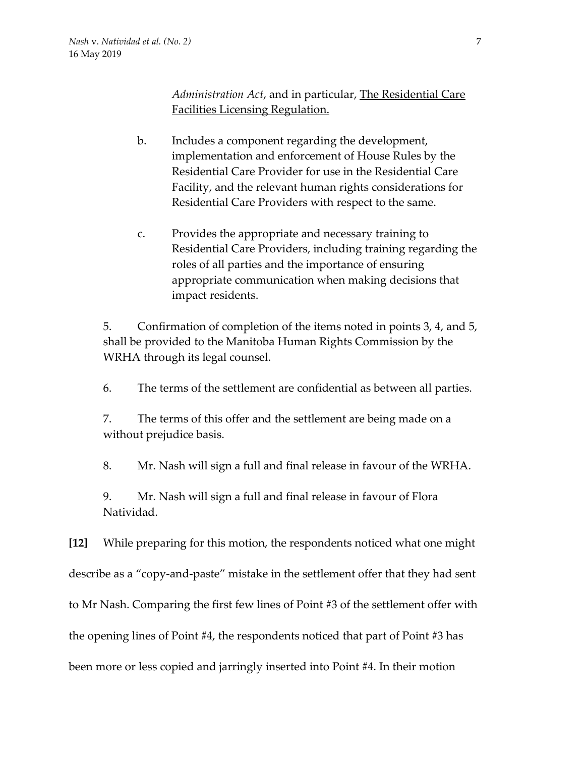*Administration Act*, and in particular, The Residential Care Facilities Licensing Regulation.

- b. Includes a component regarding the development, implementation and enforcement of House Rules by the Residential Care Provider for use in the Residential Care Facility, and the relevant human rights considerations for Residential Care Providers with respect to the same.
- c. Provides the appropriate and necessary training to Residential Care Providers, including training regarding the roles of all parties and the importance of ensuring appropriate communication when making decisions that impact residents.

5. Confirmation of completion of the items noted in points 3, 4, and 5, shall be provided to the Manitoba Human Rights Commission by the WRHA through its legal counsel.

6. The terms of the settlement are confidential as between all parties.

7. The terms of this offer and the settlement are being made on a without prejudice basis.

8. Mr. Nash will sign a full and final release in favour of the WRHA.

9. Mr. Nash will sign a full and final release in favour of Flora Natividad.

**[12]** While preparing for this motion, the respondents noticed what one might describe as a "copy-and-paste" mistake in the settlement offer that they had sent to Mr Nash. Comparing the first few lines of Point #3 of the settlement offer with the opening lines of Point #4, the respondents noticed that part of Point #3 has been more or less copied and jarringly inserted into Point #4. In their motion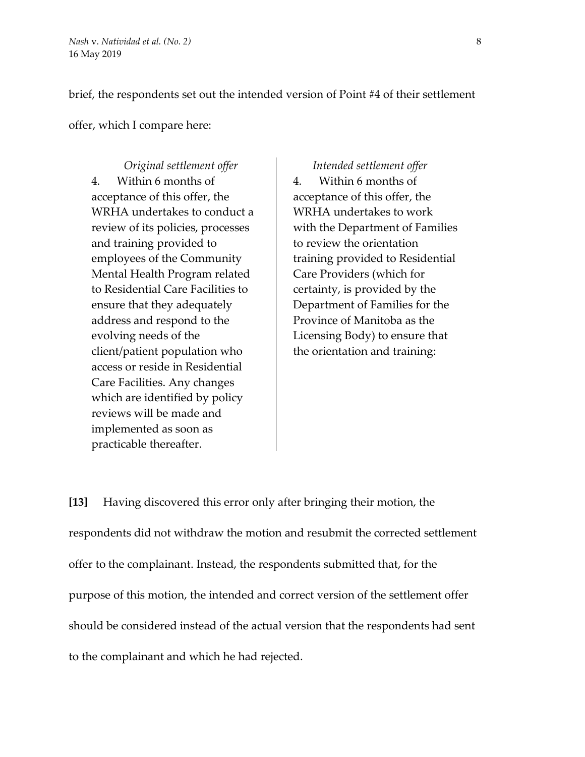brief, the respondents set out the intended version of Point #4 of their settlement

offer, which I compare here:

*Original settlement offer Intended settlement offer* 4. Within 6 months of acceptance of this offer, the WRHA undertakes to conduct a review of its policies, processes and training provided to employees of the Community Mental Health Program related to Residential Care Facilities to ensure that they adequately address and respond to the evolving needs of the client/patient population who access or reside in Residential Care Facilities. Any changes which are identified by policy reviews will be made and implemented as soon as practicable thereafter.

4. Within 6 months of acceptance of this offer, the WRHA undertakes to work with the Department of Families to review the orientation training provided to Residential Care Providers (which for certainty, is provided by the Department of Families for the Province of Manitoba as the Licensing Body) to ensure that the orientation and training:

**[13]** Having discovered this error only after bringing their motion, the respondents did not withdraw the motion and resubmit the corrected settlement offer to the complainant. Instead, the respondents submitted that, for the purpose of this motion, the intended and correct version of the settlement offer should be considered instead of the actual version that the respondents had sent to the complainant and which he had rejected.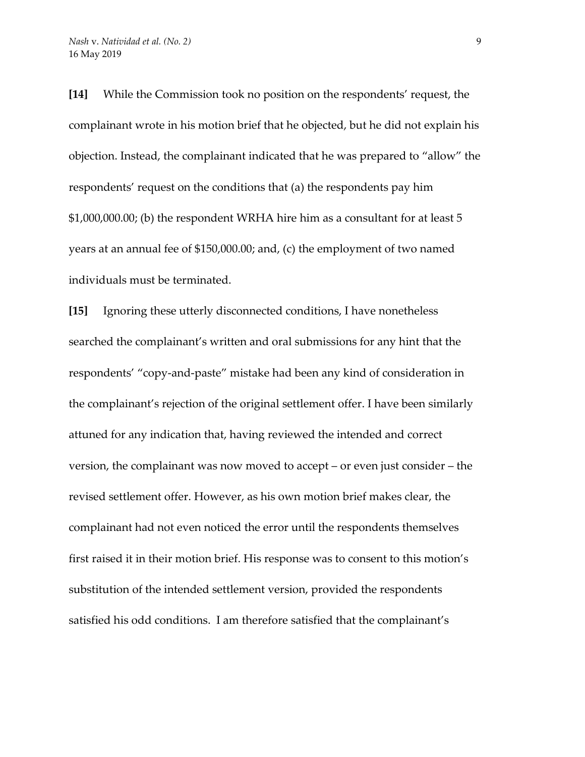**[14]** While the Commission took no position on the respondents' request, the complainant wrote in his motion brief that he objected, but he did not explain his objection. Instead, the complainant indicated that he was prepared to "allow" the respondents' request on the conditions that (a) the respondents pay him \$1,000,000.00; (b) the respondent WRHA hire him as a consultant for at least 5 years at an annual fee of \$150,000.00; and, (c) the employment of two named individuals must be terminated.

**[15]** Ignoring these utterly disconnected conditions, I have nonetheless searched the complainant's written and oral submissions for any hint that the respondents' "copy-and-paste" mistake had been any kind of consideration in the complainant's rejection of the original settlement offer. I have been similarly attuned for any indication that, having reviewed the intended and correct version, the complainant was now moved to accept – or even just consider – the revised settlement offer. However, as his own motion brief makes clear, the complainant had not even noticed the error until the respondents themselves first raised it in their motion brief. His response was to consent to this motion's substitution of the intended settlement version, provided the respondents satisfied his odd conditions. I am therefore satisfied that the complainant's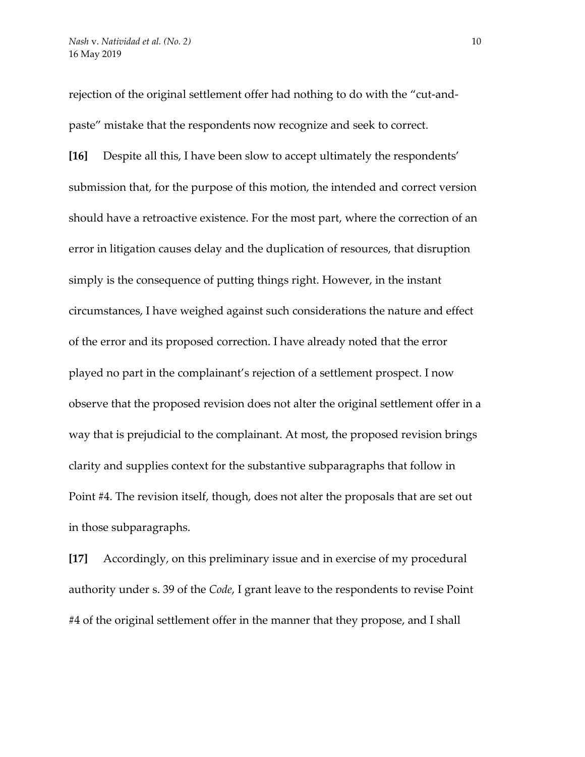rejection of the original settlement offer had nothing to do with the "cut-andpaste" mistake that the respondents now recognize and seek to correct.

**[16]** Despite all this, I have been slow to accept ultimately the respondents' submission that, for the purpose of this motion, the intended and correct version should have a retroactive existence. For the most part, where the correction of an error in litigation causes delay and the duplication of resources, that disruption simply is the consequence of putting things right. However, in the instant circumstances, I have weighed against such considerations the nature and effect of the error and its proposed correction. I have already noted that the error played no part in the complainant's rejection of a settlement prospect. I now observe that the proposed revision does not alter the original settlement offer in a way that is prejudicial to the complainant. At most, the proposed revision brings clarity and supplies context for the substantive subparagraphs that follow in Point #4. The revision itself, though, does not alter the proposals that are set out in those subparagraphs.

**[17]** Accordingly, on this preliminary issue and in exercise of my procedural authority under s. 39 of the *Code*, I grant leave to the respondents to revise Point #4 of the original settlement offer in the manner that they propose, and I shall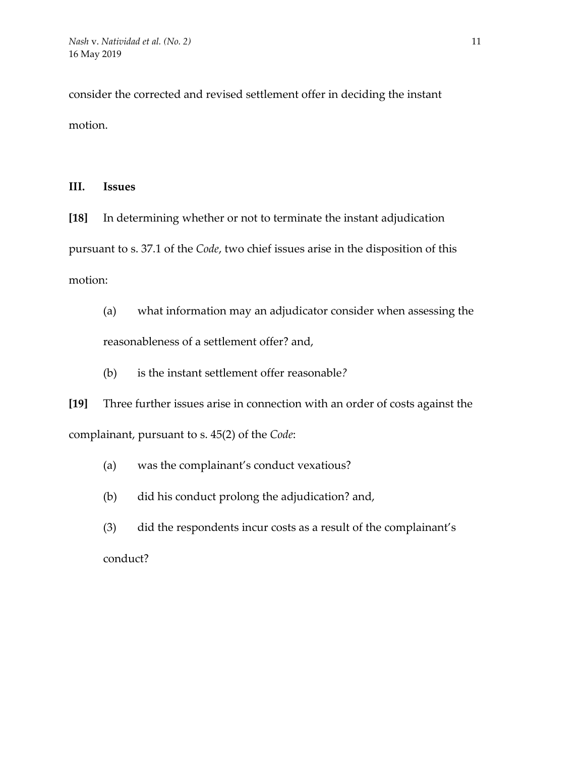consider the corrected and revised settlement offer in deciding the instant motion.

## **III. Issues**

**[18]** In determining whether or not to terminate the instant adjudication pursuant to s. 37.1 of the *Code*, two chief issues arise in the disposition of this motion:

(a) what information may an adjudicator consider when assessing the reasonableness of a settlement offer? and,

(b) is the instant settlement offer reasonable*?* 

**[19]** Three further issues arise in connection with an order of costs against the complainant, pursuant to s. 45(2) of the *Code*:

- (a) was the complainant's conduct vexatious?
- (b) did his conduct prolong the adjudication? and,
- (3) did the respondents incur costs as a result of the complainant's conduct?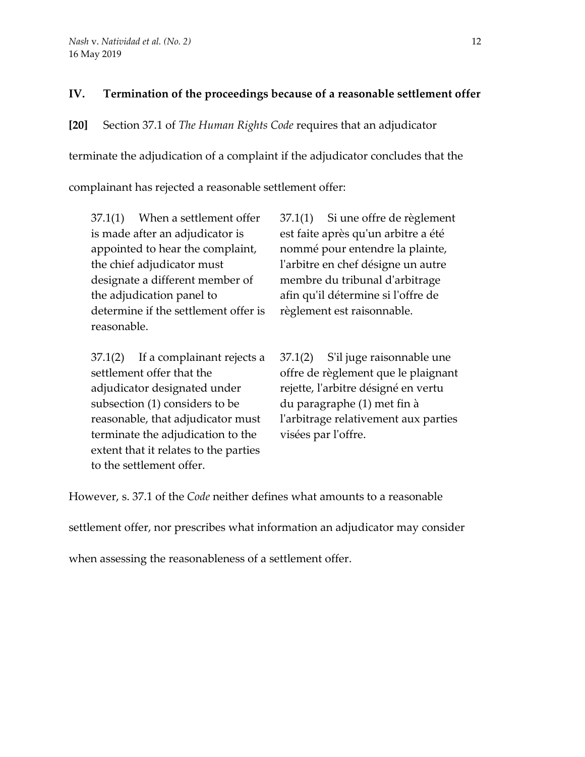# **IV. Termination of the proceedings because of a reasonable settlement offer**

**[20]** Section 37.1 of *The Human Rights Code* requires that an adjudicator terminate the adjudication of a complaint if the adjudicator concludes that the complainant has rejected a reasonable settlement offer:

37.1(1) When a settlement offer is made after an adjudicator is appointed to hear the complaint, the chief adjudicator must designate a different member of the adjudication panel to determine if the settlement offer is reasonable.

37.1(2) If a complainant rejects a settlement offer that the adjudicator designated under subsection (1) considers to be reasonable, that adjudicator must terminate the adjudication to the extent that it relates to the parties to the settlement offer.

37.1(1) Si une offre de règlement est faite après qu'un arbitre a été nommé pour entendre la plainte, l'arbitre en chef désigne un autre membre du tribunal d'arbitrage afin qu'il détermine si l'offre de règlement est raisonnable.

37.1(2) S'il juge raisonnable une offre de règlement que le plaignant rejette, l'arbitre désigné en vertu du paragraphe (1) met fin à l'arbitrage relativement aux parties visées par l'offre.

However, s. 37.1 of the *Code* neither defines what amounts to a reasonable

settlement offer, nor prescribes what information an adjudicator may consider

when assessing the reasonableness of a settlement offer.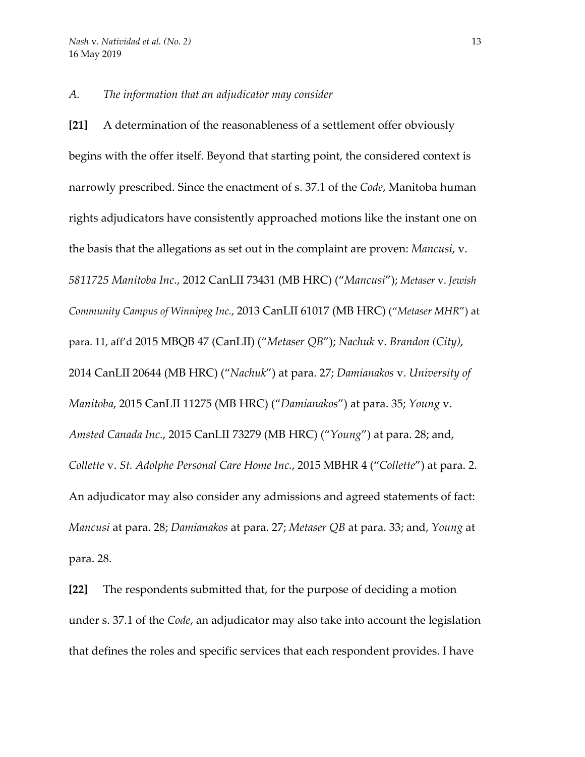#### *A. The information that an adjudicator may consider*

**[21]** A determination of the reasonableness of a settlement offer obviously begins with the offer itself. Beyond that starting point, the considered context is narrowly prescribed. Since the enactment of s. 37.1 of the *Code*, Manitoba human rights adjudicators have consistently approached motions like the instant one on the basis that the allegations as set out in the complaint are proven: *Mancusi*, v. *5811725 Manitoba Inc.*, 2012 CanLII 73431 (MB HRC) ("*Mancusi*"); *Metaser* v. *Jewish Community Campus of Winnipeg Inc.*, 2013 CanLII 61017 (MB HRC) ("*Metaser MHR*") at para. 11, aff'd 2015 MBQB 47 (CanLII) ("*Metaser QB*"); *Nachuk* v. *Brandon (City)*, 2014 CanLII 20644 (MB HRC) ("*Nachuk*") at para. 27; *Damianakos* v. *University of Manitoba*, 2015 CanLII 11275 (MB HRC) ("*Damianakos*") at para. 35; *Young* v. *Amsted Canada Inc.*, 2015 CanLII 73279 (MB HRC) ("*Young*") at para. 28; and, *Collette* v. *St. Adolphe Personal Care Home Inc.*, 2015 MBHR 4 ("*Collette*") at para. 2. An adjudicator may also consider any admissions and agreed statements of fact: *Mancusi* at para. 28; *Damianakos* at para. 27; *Metaser QB* at para. 33; and, *Young* at para. 28.

**[22]** The respondents submitted that, for the purpose of deciding a motion under s. 37.1 of the *Code*, an adjudicator may also take into account the legislation that defines the roles and specific services that each respondent provides. I have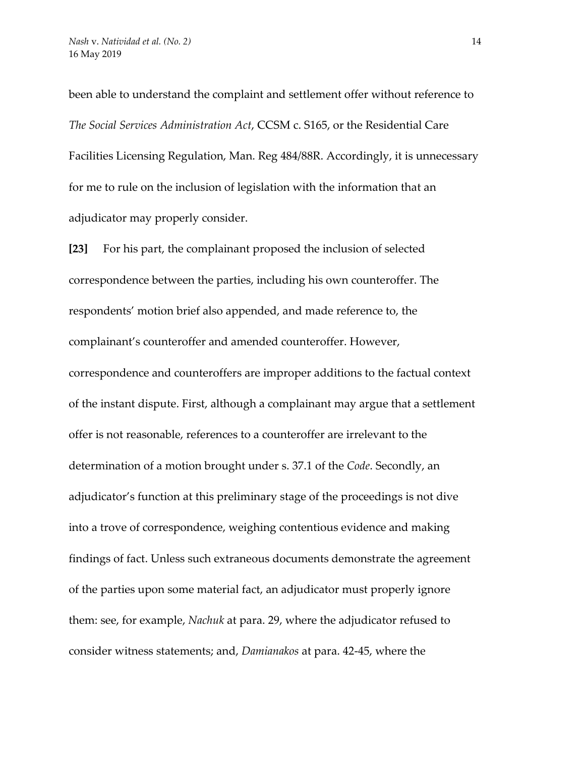been able to understand the complaint and settlement offer without reference to *The Social Services Administration Act*, CCSM c. S165, or the Residential Care Facilities Licensing Regulation, Man. Reg 484/88R. Accordingly, it is unnecessary for me to rule on the inclusion of legislation with the information that an adjudicator may properly consider.

**[23]** For his part, the complainant proposed the inclusion of selected correspondence between the parties, including his own counteroffer. The respondents' motion brief also appended, and made reference to, the complainant's counteroffer and amended counteroffer. However, correspondence and counteroffers are improper additions to the factual context of the instant dispute. First, although a complainant may argue that a settlement offer is not reasonable, references to a counteroffer are irrelevant to the determination of a motion brought under s. 37.1 of the *Code*. Secondly, an adjudicator's function at this preliminary stage of the proceedings is not dive into a trove of correspondence, weighing contentious evidence and making findings of fact. Unless such extraneous documents demonstrate the agreement of the parties upon some material fact, an adjudicator must properly ignore them: see, for example, *Nachuk* at para. 29, where the adjudicator refused to consider witness statements; and, *Damianakos* at para. 42-45, where the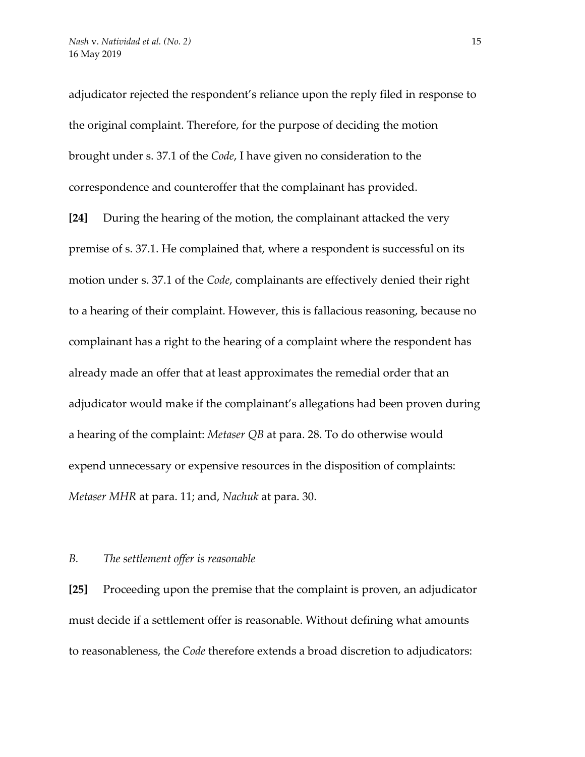adjudicator rejected the respondent's reliance upon the reply filed in response to the original complaint. Therefore, for the purpose of deciding the motion brought under s. 37.1 of the *Code*, I have given no consideration to the correspondence and counteroffer that the complainant has provided.

**[24]** During the hearing of the motion, the complainant attacked the very premise of s. 37.1. He complained that, where a respondent is successful on its motion under s. 37.1 of the *Code*, complainants are effectively denied their right to a hearing of their complaint. However, this is fallacious reasoning, because no complainant has a right to the hearing of a complaint where the respondent has already made an offer that at least approximates the remedial order that an adjudicator would make if the complainant's allegations had been proven during a hearing of the complaint: *Metaser QB* at para. 28. To do otherwise would expend unnecessary or expensive resources in the disposition of complaints: *Metaser MHR* at para. 11; and, *Nachuk* at para. 30.

#### *B. The settlement offer is reasonable*

**[25]** Proceeding upon the premise that the complaint is proven, an adjudicator must decide if a settlement offer is reasonable. Without defining what amounts to reasonableness, the *Code* therefore extends a broad discretion to adjudicators: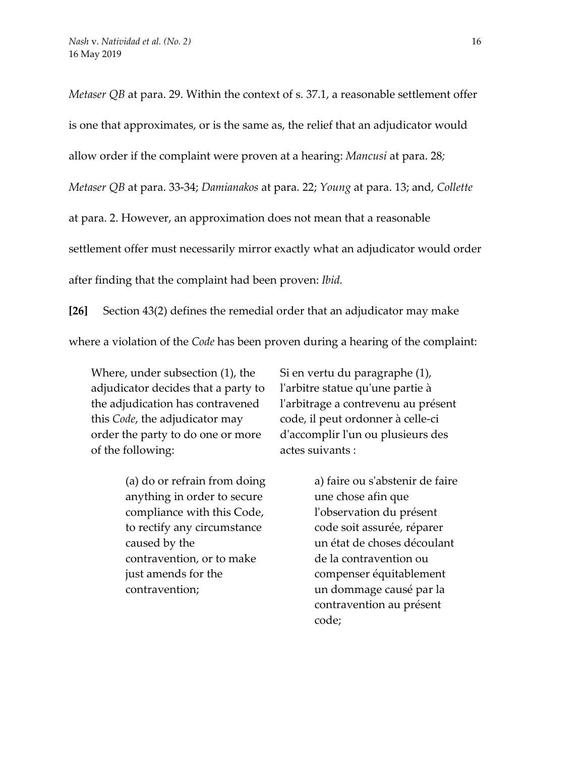*Metaser QB* at para. 29. Within the context of s. 37.1, a reasonable settlement offer is one that approximates, or is the same as, the relief that an adjudicator would allow order if the complaint were proven at a hearing: *Mancusi* at para. 28*; Metaser QB* at para. 33-34; *Damianakos* at para. 22; *Young* at para. 13; and, *Collette* at para. 2. However, an approximation does not mean that a reasonable settlement offer must necessarily mirror exactly what an adjudicator would order after finding that the complaint had been proven: *Ibid.*

**[26]** Section 43(2) defines the remedial order that an adjudicator may make where a violation of the *Code* has been proven during a hearing of the complaint:

Where, under subsection (1), the adjudicator decides that a party to the adjudication has contravened this *Code*, the adjudicator may order the party to do one or more of the following:

> (a) do or refrain from doing anything in order to secure compliance with this Code, to rectify any circumstance caused by the contravention, or to make just amends for the contravention;

Si en vertu du paragraphe (1), l'arbitre statue qu'une partie à l'arbitrage a contrevenu au présent code, il peut ordonner à celle-ci d'accomplir l'un ou plusieurs des actes suivants :

> a) faire ou s'abstenir de faire une chose afin que l'observation du présent code soit assurée, réparer un état de choses découlant de la contravention ou compenser équitablement un dommage causé par la contravention au présent code;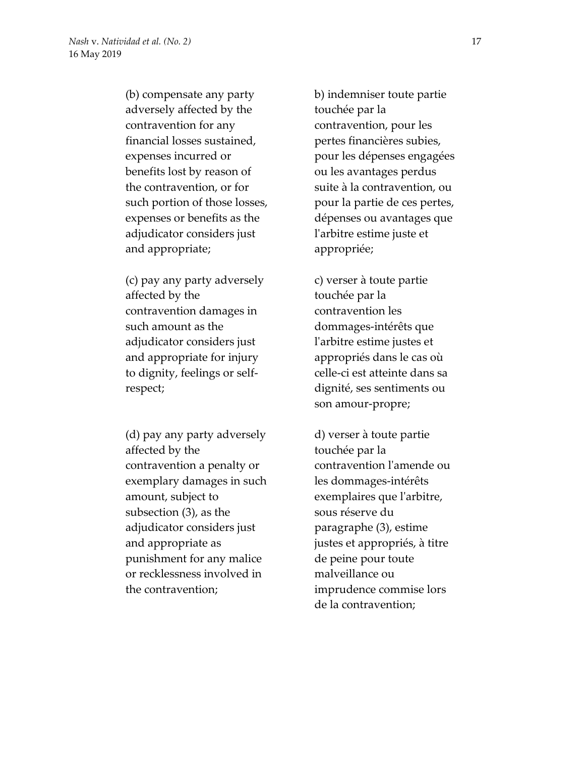(b) compensate any party adversely affected by the contravention for any financial losses sustained, expenses incurred or benefits lost by reason of the contravention, or for such portion of those losses, expenses or benefits as the adjudicator considers just and appropriate;

(c) pay any party adversely affected by the contravention damages in such amount as the adjudicator considers just and appropriate for injury to dignity, feelings or selfrespect;

(d) pay any party adversely affected by the contravention a penalty or exemplary damages in such amount, subject to subsection (3), as the adjudicator considers just and appropriate as punishment for any malice or recklessness involved in the contravention;

b) indemniser toute partie touchée par la contravention, pour les pertes financières subies, pour les dépenses engagées ou les avantages perdus suite à la contravention, ou pour la partie de ces pertes, dépenses ou avantages que l'arbitre estime juste et appropriée;

c) verser à toute partie touchée par la contravention les dommages-intérêts que l'arbitre estime justes et appropriés dans le cas où celle-ci est atteinte dans sa dignité, ses sentiments ou son amour-propre;

d) verser à toute partie touchée par la contravention l'amende ou les dommages-intérêts exemplaires que l'arbitre, sous réserve du paragraphe (3), estime justes et appropriés, à titre de peine pour toute malveillance ou imprudence commise lors de la contravention;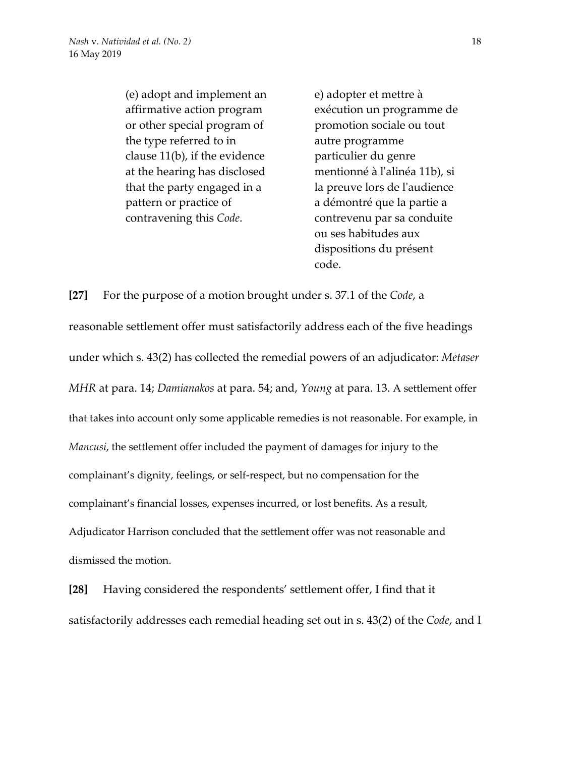(e) adopt and implement an affirmative action program or other special program of the type referred to in clause 11(b), if the evidence at the hearing has disclosed that the party engaged in a pattern or practice of contravening this *Code*.

e) adopter et mettre à exécution un programme de promotion sociale ou tout autre programme particulier du genre mentionné à l'alinéa 11b), si la preuve lors de l'audience a démontré que la partie a contrevenu par sa conduite ou ses habitudes aux dispositions du présent code.

**[27]** For the purpose of a motion brought under s. 37.1 of the *Code*, a reasonable settlement offer must satisfactorily address each of the five headings under which s. 43(2) has collected the remedial powers of an adjudicator: *Metaser MHR* at para. 14; *Damianakos* at para. 54; and, *Young* at para. 13. A settlement offer that takes into account only some applicable remedies is not reasonable. For example, in *Mancusi*, the settlement offer included the payment of damages for injury to the complainant's dignity, feelings, or self-respect, but no compensation for the complainant's financial losses, expenses incurred, or lost benefits. As a result, Adjudicator Harrison concluded that the settlement offer was not reasonable and dismissed the motion.

**[28]** Having considered the respondents' settlement offer, I find that it satisfactorily addresses each remedial heading set out in s. 43(2) of the *Code*, and I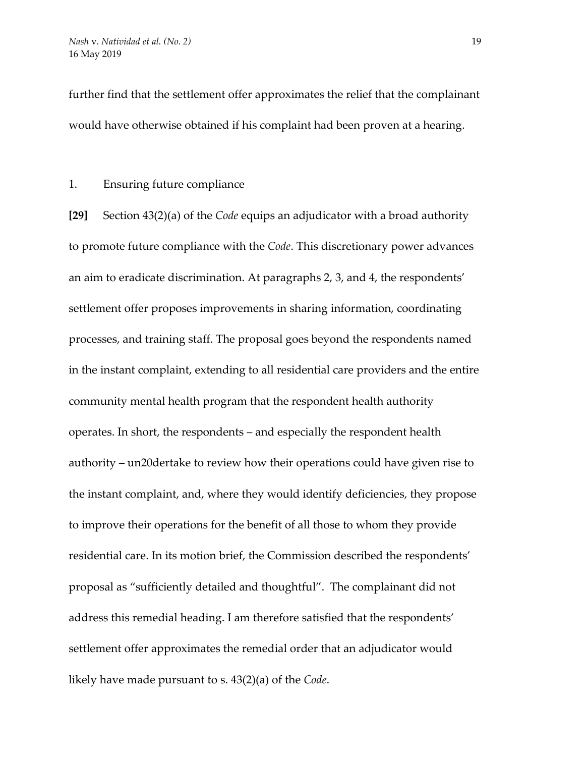further find that the settlement offer approximates the relief that the complainant would have otherwise obtained if his complaint had been proven at a hearing.

1. Ensuring future compliance

**[29]** Section 43(2)(a) of the *Code* equips an adjudicator with a broad authority to promote future compliance with the *Code*. This discretionary power advances an aim to eradicate discrimination. At paragraphs 2, 3, and 4, the respondents' settlement offer proposes improvements in sharing information, coordinating processes, and training staff. The proposal goes beyond the respondents named in the instant complaint, extending to all residential care providers and the entire community mental health program that the respondent health authority operates. In short, the respondents – and especially the respondent health authority – un20dertake to review how their operations could have given rise to the instant complaint, and, where they would identify deficiencies, they propose to improve their operations for the benefit of all those to whom they provide residential care. In its motion brief, the Commission described the respondents' proposal as "sufficiently detailed and thoughtful". The complainant did not address this remedial heading. I am therefore satisfied that the respondents' settlement offer approximates the remedial order that an adjudicator would likely have made pursuant to s. 43(2)(a) of the *Code*.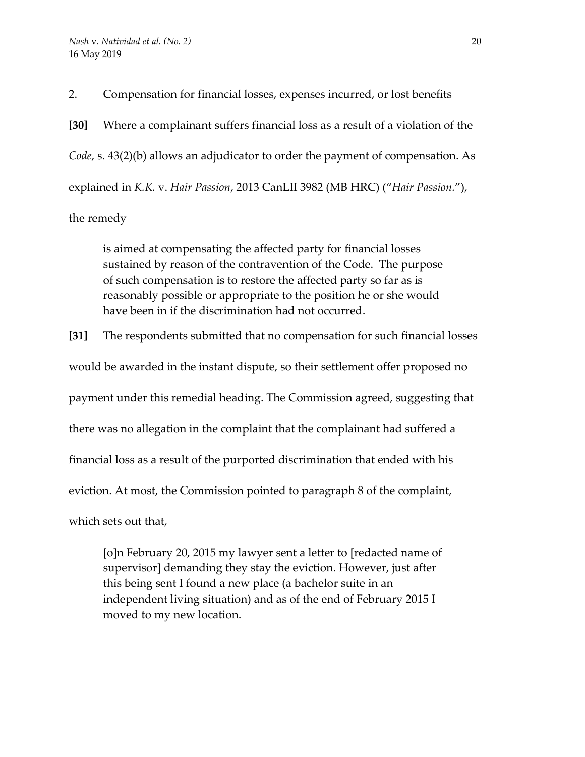2. Compensation for financial losses, expenses incurred, or lost benefits

**[30]** Where a complainant suffers financial loss as a result of a violation of the *Code*, s. 43(2)(b) allows an adjudicator to order the payment of compensation. As explained in *K.K.* v. *Hair Passion*, 2013 CanLII 3982 (MB HRC) ("*Hair Passion.*"), the remedy

is aimed at compensating the affected party for financial losses sustained by reason of the contravention of the Code. The purpose of such compensation is to restore the affected party so far as is reasonably possible or appropriate to the position he or she would have been in if the discrimination had not occurred.

**[31]** The respondents submitted that no compensation for such financial losses would be awarded in the instant dispute, so their settlement offer proposed no payment under this remedial heading. The Commission agreed, suggesting that there was no allegation in the complaint that the complainant had suffered a financial loss as a result of the purported discrimination that ended with his eviction. At most, the Commission pointed to paragraph 8 of the complaint, which sets out that,

[o]n February 20, 2015 my lawyer sent a letter to [redacted name of supervisor] demanding they stay the eviction. However, just after this being sent I found a new place (a bachelor suite in an independent living situation) and as of the end of February 2015 I moved to my new location.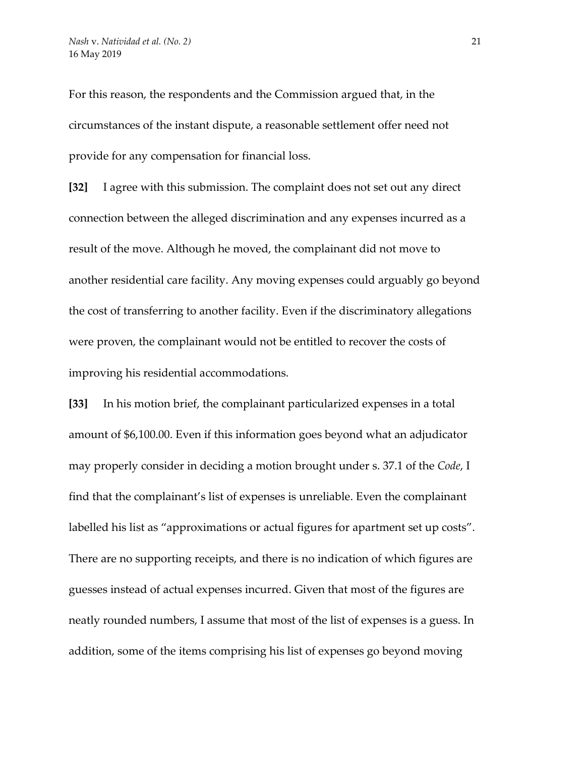For this reason, the respondents and the Commission argued that, in the circumstances of the instant dispute, a reasonable settlement offer need not provide for any compensation for financial loss.

**[32]** I agree with this submission. The complaint does not set out any direct connection between the alleged discrimination and any expenses incurred as a result of the move. Although he moved, the complainant did not move to another residential care facility. Any moving expenses could arguably go beyond the cost of transferring to another facility. Even if the discriminatory allegations were proven, the complainant would not be entitled to recover the costs of improving his residential accommodations.

**[33]** In his motion brief, the complainant particularized expenses in a total amount of \$6,100.00. Even if this information goes beyond what an adjudicator may properly consider in deciding a motion brought under s. 37.1 of the *Code*, I find that the complainant's list of expenses is unreliable. Even the complainant labelled his list as "approximations or actual figures for apartment set up costs". There are no supporting receipts, and there is no indication of which figures are guesses instead of actual expenses incurred. Given that most of the figures are neatly rounded numbers, I assume that most of the list of expenses is a guess. In addition, some of the items comprising his list of expenses go beyond moving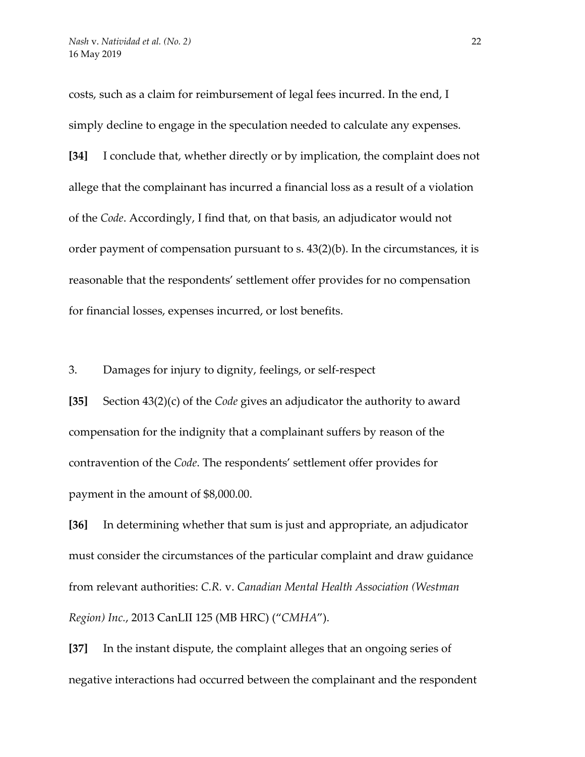costs, such as a claim for reimbursement of legal fees incurred. In the end, I simply decline to engage in the speculation needed to calculate any expenses.

**[34]** I conclude that, whether directly or by implication, the complaint does not allege that the complainant has incurred a financial loss as a result of a violation of the *Code*. Accordingly, I find that, on that basis, an adjudicator would not order payment of compensation pursuant to s. 43(2)(b). In the circumstances, it is reasonable that the respondents' settlement offer provides for no compensation for financial losses, expenses incurred, or lost benefits.

3. Damages for injury to dignity, feelings, or self-respect

**[35]** Section 43(2)(c) of the *Code* gives an adjudicator the authority to award compensation for the indignity that a complainant suffers by reason of the contravention of the *Code*. The respondents' settlement offer provides for payment in the amount of \$8,000.00.

**[36]** In determining whether that sum is just and appropriate, an adjudicator must consider the circumstances of the particular complaint and draw guidance from relevant authorities: *C.R.* v. *Canadian Mental Health Association (Westman Region) Inc.*, 2013 CanLII 125 (MB HRC) ("*CMHA*").

**[37]** In the instant dispute, the complaint alleges that an ongoing series of negative interactions had occurred between the complainant and the respondent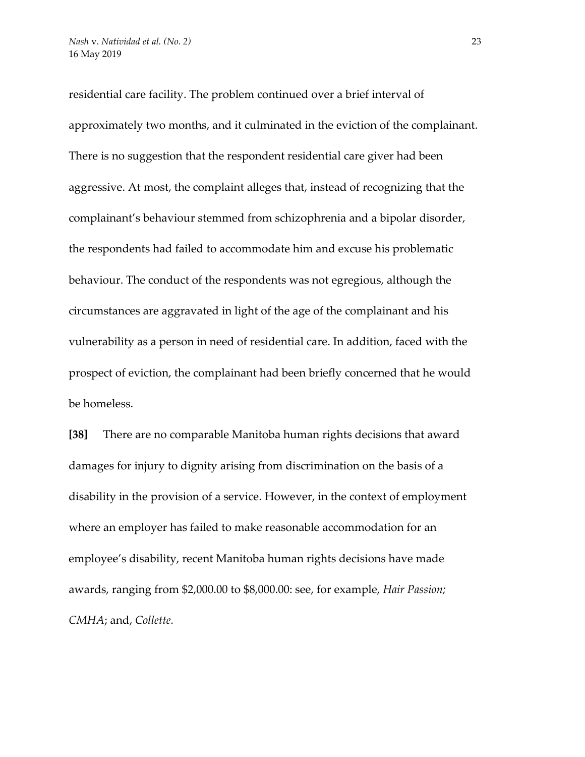residential care facility. The problem continued over a brief interval of approximately two months, and it culminated in the eviction of the complainant. There is no suggestion that the respondent residential care giver had been aggressive. At most, the complaint alleges that, instead of recognizing that the complainant's behaviour stemmed from schizophrenia and a bipolar disorder, the respondents had failed to accommodate him and excuse his problematic behaviour. The conduct of the respondents was not egregious, although the circumstances are aggravated in light of the age of the complainant and his vulnerability as a person in need of residential care. In addition, faced with the prospect of eviction, the complainant had been briefly concerned that he would be homeless.

**[38]** There are no comparable Manitoba human rights decisions that award damages for injury to dignity arising from discrimination on the basis of a disability in the provision of a service. However, in the context of employment where an employer has failed to make reasonable accommodation for an employee's disability, recent Manitoba human rights decisions have made awards, ranging from \$2,000.00 to \$8,000.00: see, for example, *Hair Passion; CMHA*; and, *Collette.*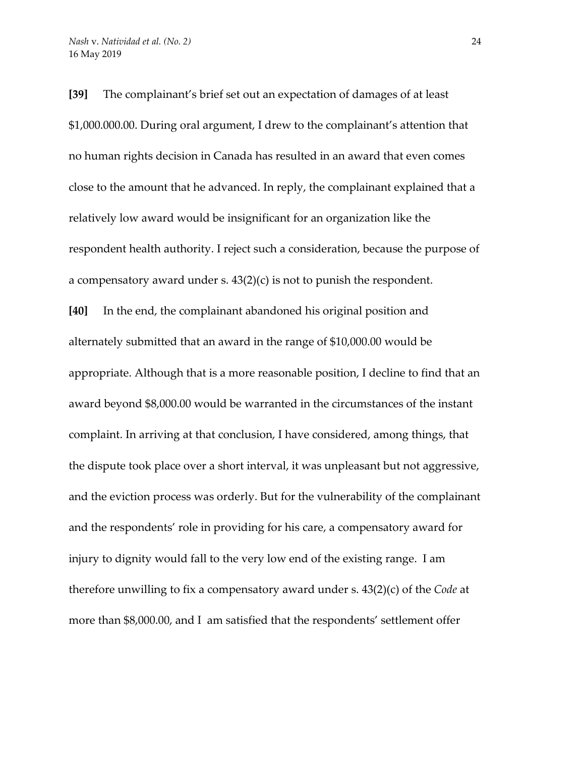**[39]** The complainant's brief set out an expectation of damages of at least \$1,000.000.00. During oral argument, I drew to the complainant's attention that no human rights decision in Canada has resulted in an award that even comes close to the amount that he advanced. In reply, the complainant explained that a relatively low award would be insignificant for an organization like the respondent health authority. I reject such a consideration, because the purpose of a compensatory award under s.  $43(2)(c)$  is not to punish the respondent. **[40]** In the end, the complainant abandoned his original position and alternately submitted that an award in the range of \$10,000.00 would be appropriate. Although that is a more reasonable position, I decline to find that an award beyond \$8,000.00 would be warranted in the circumstances of the instant complaint. In arriving at that conclusion, I have considered, among things, that the dispute took place over a short interval, it was unpleasant but not aggressive, and the eviction process was orderly. But for the vulnerability of the complainant and the respondents' role in providing for his care, a compensatory award for injury to dignity would fall to the very low end of the existing range. I am therefore unwilling to fix a compensatory award under s. 43(2)(c) of the *Code* at more than \$8,000.00, and I am satisfied that the respondents' settlement offer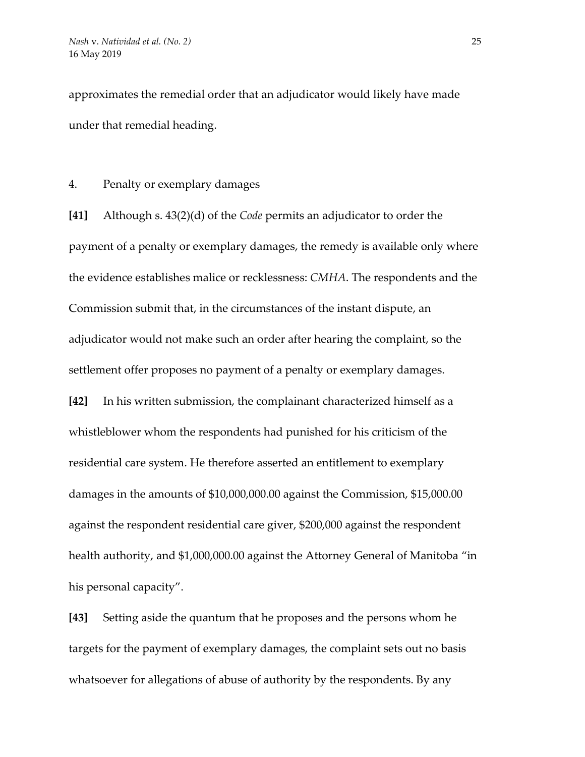approximates the remedial order that an adjudicator would likely have made under that remedial heading.

## 4. Penalty or exemplary damages

**[41]** Although s. 43(2)(d) of the *Code* permits an adjudicator to order the payment of a penalty or exemplary damages, the remedy is available only where the evidence establishes malice or recklessness: *CMHA*. The respondents and the Commission submit that, in the circumstances of the instant dispute, an adjudicator would not make such an order after hearing the complaint, so the settlement offer proposes no payment of a penalty or exemplary damages. **[42]** In his written submission, the complainant characterized himself as a whistleblower whom the respondents had punished for his criticism of the residential care system. He therefore asserted an entitlement to exemplary damages in the amounts of \$10,000,000.00 against the Commission, \$15,000.00 against the respondent residential care giver, \$200,000 against the respondent health authority, and \$1,000,000.00 against the Attorney General of Manitoba "in his personal capacity".

**[43]** Setting aside the quantum that he proposes and the persons whom he targets for the payment of exemplary damages, the complaint sets out no basis whatsoever for allegations of abuse of authority by the respondents. By any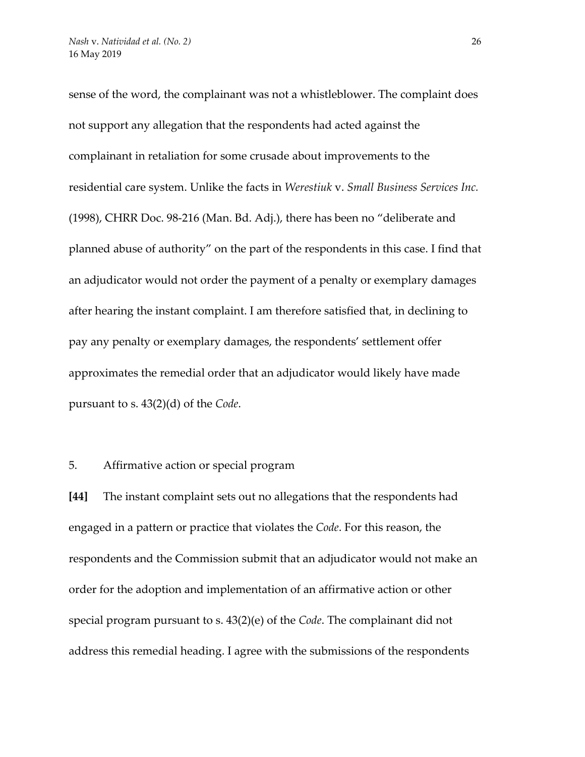sense of the word, the complainant was not a whistleblower. The complaint does not support any allegation that the respondents had acted against the complainant in retaliation for some crusade about improvements to the residential care system. Unlike the facts in *Werestiuk* v. *Small Business Services Inc.* (1998), CHRR Doc. 98-216 (Man. Bd. Adj.), there has been no "deliberate and planned abuse of authority" on the part of the respondents in this case. I find that an adjudicator would not order the payment of a penalty or exemplary damages after hearing the instant complaint. I am therefore satisfied that, in declining to pay any penalty or exemplary damages, the respondents' settlement offer approximates the remedial order that an adjudicator would likely have made pursuant to s. 43(2)(d) of the *Code*.

#### 5. Affirmative action or special program

**[44]** The instant complaint sets out no allegations that the respondents had engaged in a pattern or practice that violates the *Code*. For this reason, the respondents and the Commission submit that an adjudicator would not make an order for the adoption and implementation of an affirmative action or other special program pursuant to s. 43(2)(e) of the *Code*. The complainant did not address this remedial heading. I agree with the submissions of the respondents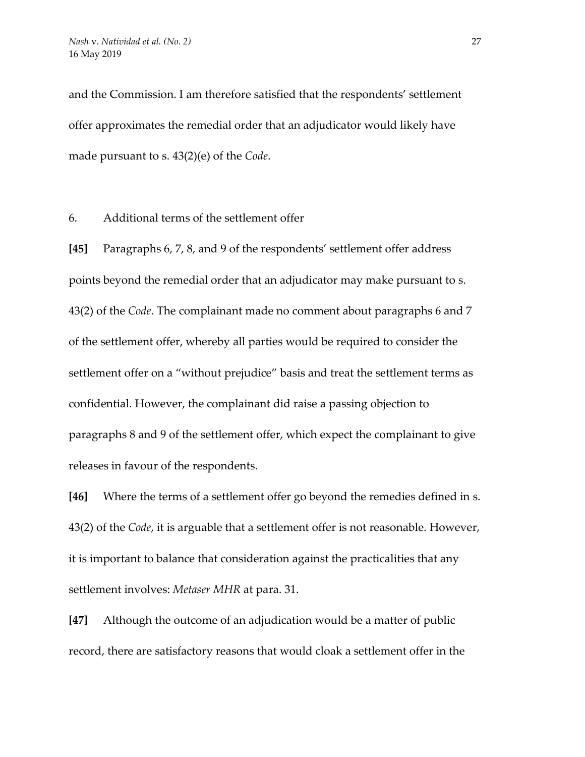and the Commission. I am therefore satisfied that the respondents' settlement offer approximates the remedial order that an adjudicator would likely have made pursuant to s. 43(2)(e) of the *Code*.

6. Additional terms of the settlement offer

**[45]** Paragraphs 6, 7, 8, and 9 of the respondents' settlement offer address points beyond the remedial order that an adjudicator may make pursuant to s. 43(2) of the *Code*. The complainant made no comment about paragraphs 6 and 7 of the settlement offer, whereby all parties would be required to consider the settlement offer on a "without prejudice" basis and treat the settlement terms as confidential. However, the complainant did raise a passing objection to paragraphs 8 and 9 of the settlement offer, which expect the complainant to give releases in favour of the respondents.

**[46]** Where the terms of a settlement offer go beyond the remedies defined in s. 43(2) of the *Code*, it is arguable that a settlement offer is not reasonable. However, it is important to balance that consideration against the practicalities that any settlement involves: *Metaser MHR* at para. 31.

**[47]** Although the outcome of an adjudication would be a matter of public record, there are satisfactory reasons that would cloak a settlement offer in the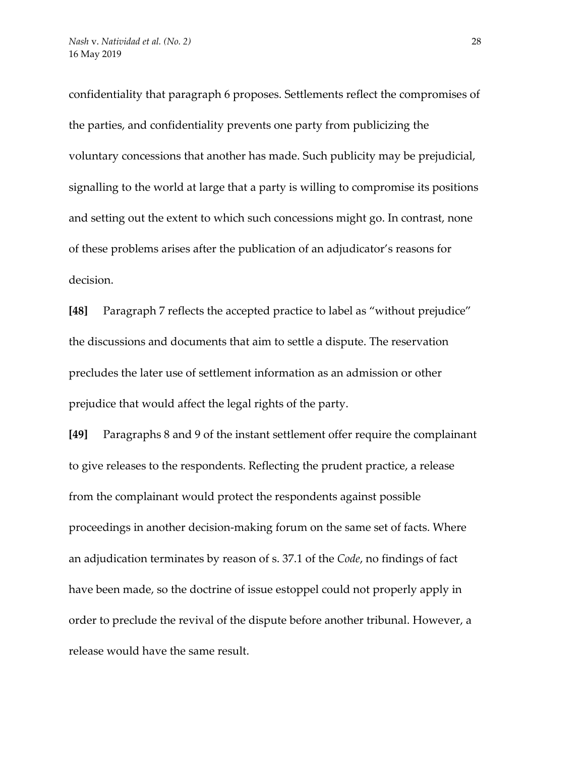confidentiality that paragraph 6 proposes. Settlements reflect the compromises of the parties, and confidentiality prevents one party from publicizing the voluntary concessions that another has made. Such publicity may be prejudicial, signalling to the world at large that a party is willing to compromise its positions and setting out the extent to which such concessions might go. In contrast, none of these problems arises after the publication of an adjudicator's reasons for decision.

**[48]** Paragraph 7 reflects the accepted practice to label as "without prejudice" the discussions and documents that aim to settle a dispute. The reservation precludes the later use of settlement information as an admission or other prejudice that would affect the legal rights of the party.

**[49]** Paragraphs 8 and 9 of the instant settlement offer require the complainant to give releases to the respondents. Reflecting the prudent practice, a release from the complainant would protect the respondents against possible proceedings in another decision-making forum on the same set of facts. Where an adjudication terminates by reason of s. 37.1 of the *Code*, no findings of fact have been made, so the doctrine of issue estoppel could not properly apply in order to preclude the revival of the dispute before another tribunal. However, a release would have the same result.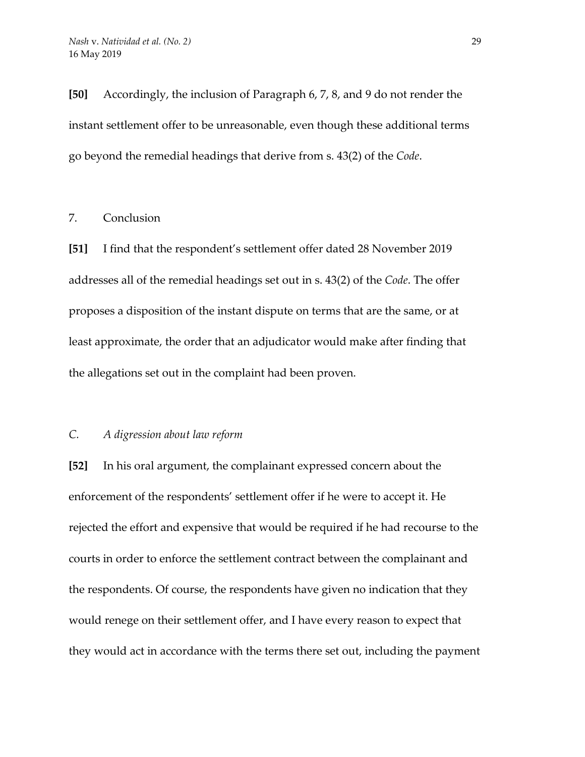**[50]** Accordingly, the inclusion of Paragraph 6, 7, 8, and 9 do not render the instant settlement offer to be unreasonable, even though these additional terms go beyond the remedial headings that derive from s. 43(2) of the *Code*.

## 7. Conclusion

**[51]** I find that the respondent's settlement offer dated 28 November 2019 addresses all of the remedial headings set out in s. 43(2) of the *Code*. The offer proposes a disposition of the instant dispute on terms that are the same, or at least approximate, the order that an adjudicator would make after finding that the allegations set out in the complaint had been proven.

# *C. A digression about law reform*

**[52]** In his oral argument, the complainant expressed concern about the enforcement of the respondents' settlement offer if he were to accept it. He rejected the effort and expensive that would be required if he had recourse to the courts in order to enforce the settlement contract between the complainant and the respondents. Of course, the respondents have given no indication that they would renege on their settlement offer, and I have every reason to expect that they would act in accordance with the terms there set out, including the payment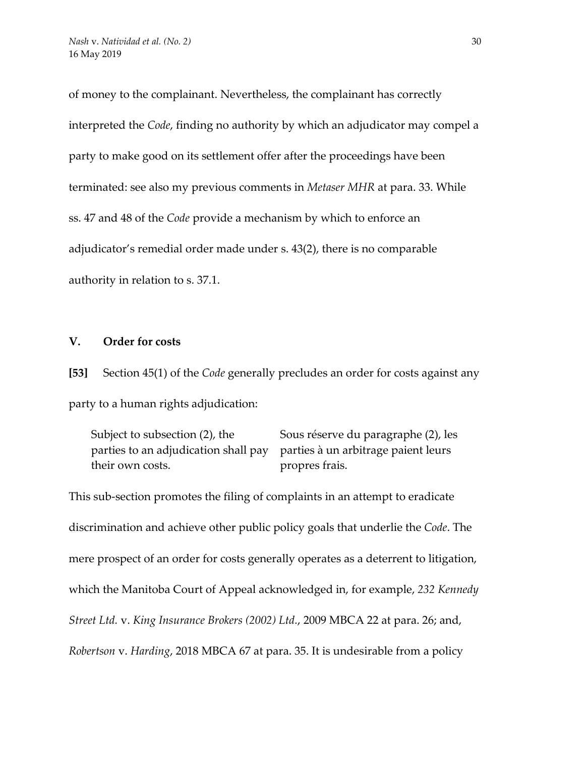of money to the complainant. Nevertheless, the complainant has correctly interpreted the *Code*, finding no authority by which an adjudicator may compel a party to make good on its settlement offer after the proceedings have been terminated: see also my previous comments in *Metaser MHR* at para. 33. While ss. 47 and 48 of the *Code* provide a mechanism by which to enforce an adjudicator's remedial order made under s. 43(2), there is no comparable authority in relation to s. 37.1.

## **V. Order for costs**

**[53]** Section 45(1) of the *Code* generally precludes an order for costs against any party to a human rights adjudication:

Subject to subsection (2), the parties to an adjudication shall pay their own costs. Sous réserve du paragraphe (2), les parties à un arbitrage paient leurs propres frais.

This sub-section promotes the filing of complaints in an attempt to eradicate discrimination and achieve other public policy goals that underlie the *Code*. The mere prospect of an order for costs generally operates as a deterrent to litigation, which the Manitoba Court of Appeal acknowledged in, for example, *232 Kennedy Street Ltd.* v. *King Insurance Brokers (2002) Ltd.*, 2009 MBCA 22 at para. 26; and, *Robertson* v. *Harding*, 2018 MBCA 67 at para. 35. It is undesirable from a policy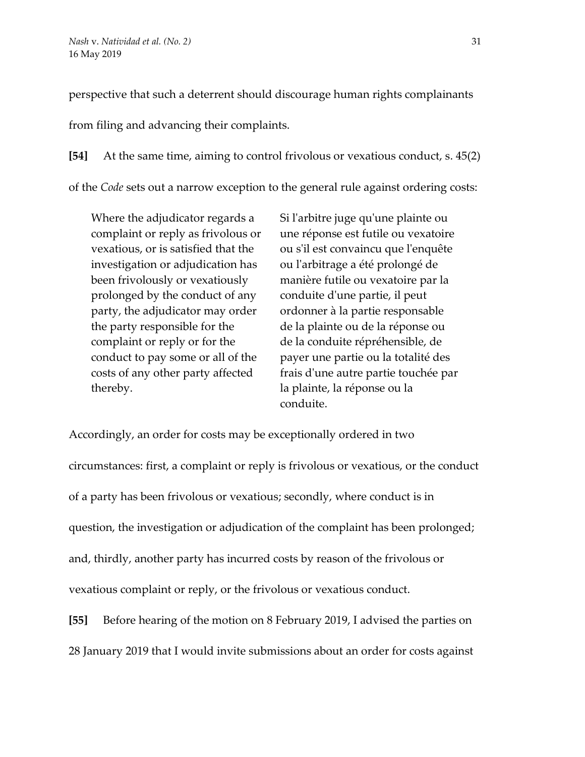perspective that such a deterrent should discourage human rights complainants

from filing and advancing their complaints.

**[54]** At the same time, aiming to control frivolous or vexatious conduct, s. 45(2) of the *Code* sets out a narrow exception to the general rule against ordering costs:

Where the adjudicator regards a complaint or reply as frivolous or vexatious, or is satisfied that the investigation or adjudication has been frivolously or vexatiously prolonged by the conduct of any party, the adjudicator may order the party responsible for the complaint or reply or for the conduct to pay some or all of the costs of any other party affected thereby.

Si l'arbitre juge qu'une plainte ou une réponse est futile ou vexatoire ou s'il est convaincu que l'enquête ou l'arbitrage a été prolongé de manière futile ou vexatoire par la conduite d'une partie, il peut ordonner à la partie responsable de la plainte ou de la réponse ou de la conduite répréhensible, de payer une partie ou la totalité des frais d'une autre partie touchée par la plainte, la réponse ou la conduite.

Accordingly, an order for costs may be exceptionally ordered in two circumstances: first, a complaint or reply is frivolous or vexatious, or the conduct of a party has been frivolous or vexatious; secondly, where conduct is in question, the investigation or adjudication of the complaint has been prolonged; and, thirdly, another party has incurred costs by reason of the frivolous or vexatious complaint or reply, or the frivolous or vexatious conduct.

**[55]** Before hearing of the motion on 8 February 2019, I advised the parties on 28 January 2019 that I would invite submissions about an order for costs against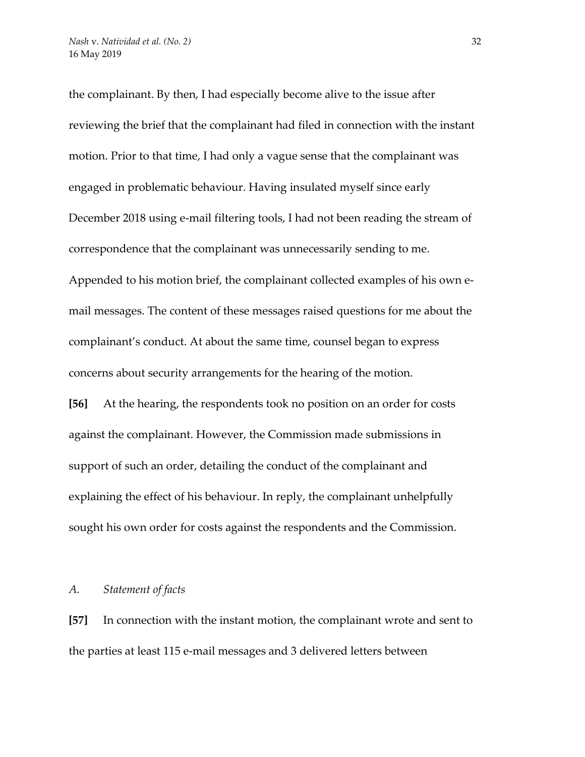the complainant. By then, I had especially become alive to the issue after reviewing the brief that the complainant had filed in connection with the instant motion. Prior to that time, I had only a vague sense that the complainant was engaged in problematic behaviour. Having insulated myself since early December 2018 using e-mail filtering tools, I had not been reading the stream of correspondence that the complainant was unnecessarily sending to me. Appended to his motion brief, the complainant collected examples of his own email messages. The content of these messages raised questions for me about the complainant's conduct. At about the same time, counsel began to express concerns about security arrangements for the hearing of the motion.

**[56]** At the hearing, the respondents took no position on an order for costs against the complainant. However, the Commission made submissions in support of such an order, detailing the conduct of the complainant and explaining the effect of his behaviour. In reply, the complainant unhelpfully sought his own order for costs against the respondents and the Commission.

#### *A. Statement of facts*

**[57]** In connection with the instant motion, the complainant wrote and sent to the parties at least 115 e-mail messages and 3 delivered letters between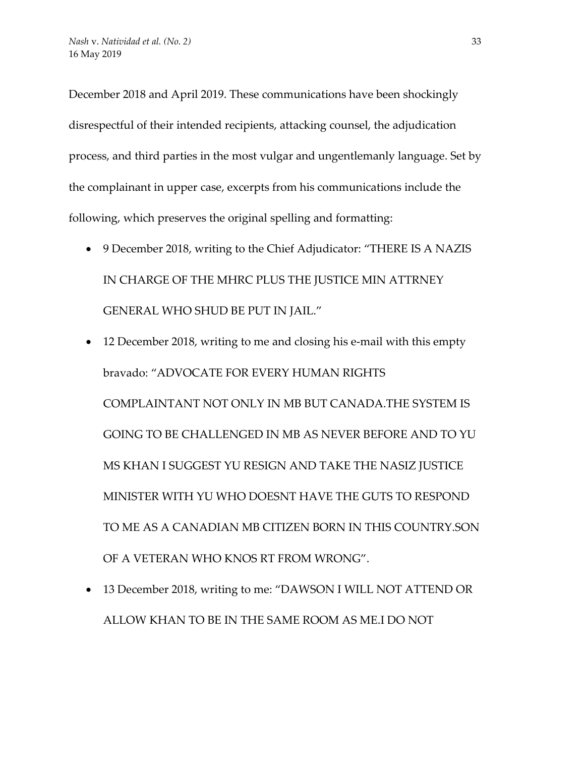December 2018 and April 2019. These communications have been shockingly disrespectful of their intended recipients, attacking counsel, the adjudication process, and third parties in the most vulgar and ungentlemanly language. Set by the complainant in upper case, excerpts from his communications include the following, which preserves the original spelling and formatting:

- 9 December 2018, writing to the Chief Adjudicator: "THERE IS A NAZIS IN CHARGE OF THE MHRC PLUS THE JUSTICE MIN ATTRNEY GENERAL WHO SHUD BE PUT IN JAIL."
- 12 December 2018, writing to me and closing his e-mail with this empty bravado: "ADVOCATE FOR EVERY HUMAN RIGHTS COMPLAINTANT NOT ONLY IN MB BUT CANADA.THE SYSTEM IS GOING TO BE CHALLENGED IN MB AS NEVER BEFORE AND TO YU MS KHAN I SUGGEST YU RESIGN AND TAKE THE NASIZ JUSTICE MINISTER WITH YU WHO DOESNT HAVE THE GUTS TO RESPOND TO ME AS A CANADIAN MB CITIZEN BORN IN THIS COUNTRY.SON OF A VETERAN WHO KNOS RT FROM WRONG".
- 13 December 2018, writing to me: "DAWSON I WILL NOT ATTEND OR ALLOW KHAN TO BE IN THE SAME ROOM AS ME.I DO NOT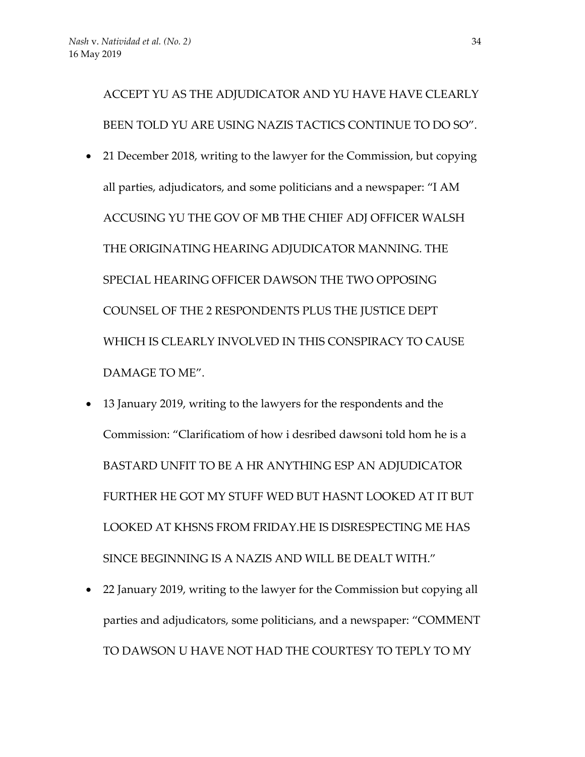ACCEPT YU AS THE ADJUDICATOR AND YU HAVE HAVE CLEARLY BEEN TOLD YU ARE USING NAZIS TACTICS CONTINUE TO DO SO".

- 21 December 2018, writing to the lawyer for the Commission, but copying all parties, adjudicators, and some politicians and a newspaper: "I AM ACCUSING YU THE GOV OF MB THE CHIEF ADJ OFFICER WALSH THE ORIGINATING HEARING ADJUDICATOR MANNING. THE SPECIAL HEARING OFFICER DAWSON THE TWO OPPOSING COUNSEL OF THE 2 RESPONDENTS PLUS THE JUSTICE DEPT WHICH IS CLEARLY INVOLVED IN THIS CONSPIRACY TO CAUSE DAMAGE TO ME".
- 13 January 2019, writing to the lawyers for the respondents and the Commission: "Clarificatiom of how i desribed dawsoni told hom he is a BASTARD UNFIT TO BE A HR ANYTHING ESP AN ADJUDICATOR FURTHER HE GOT MY STUFF WED BUT HASNT LOOKED AT IT BUT LOOKED AT KHSNS FROM FRIDAY.HE IS DISRESPECTING ME HAS SINCE BEGINNING IS A NAZIS AND WILL BE DEALT WITH."
- 22 January 2019, writing to the lawyer for the Commission but copying all parties and adjudicators, some politicians, and a newspaper: "COMMENT TO DAWSON U HAVE NOT HAD THE COURTESY TO TEPLY TO MY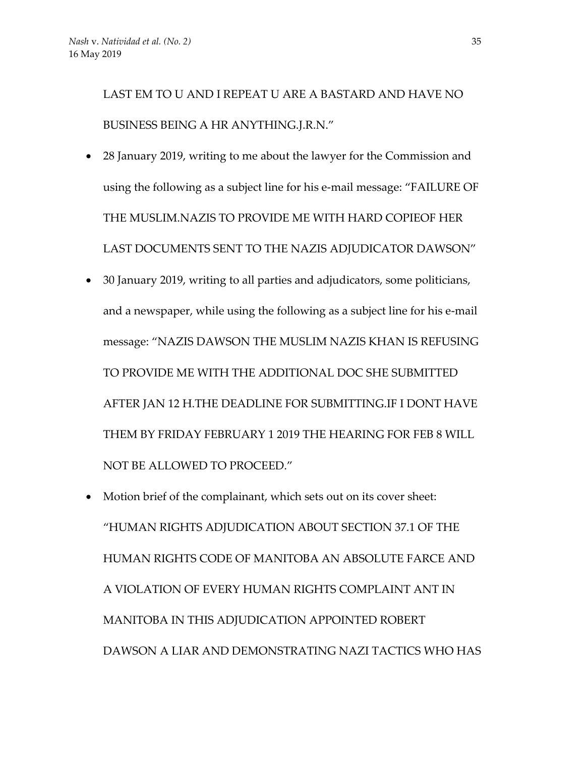LAST EM TO U AND I REPEAT U ARE A BASTARD AND HAVE NO BUSINESS BEING A HR ANYTHING.J.R.N."

- 28 January 2019, writing to me about the lawyer for the Commission and using the following as a subject line for his e-mail message: "FAILURE OF THE MUSLIM.NAZIS TO PROVIDE ME WITH HARD COPIEOF HER LAST DOCUMENTS SENT TO THE NAZIS ADJUDICATOR DAWSON"
- 30 January 2019, writing to all parties and adjudicators, some politicians, and a newspaper, while using the following as a subject line for his e-mail message: "NAZIS DAWSON THE MUSLIM NAZIS KHAN IS REFUSING TO PROVIDE ME WITH THE ADDITIONAL DOC SHE SUBMITTED AFTER JAN 12 H.THE DEADLINE FOR SUBMITTING.IF I DONT HAVE THEM BY FRIDAY FEBRUARY 1 2019 THE HEARING FOR FEB 8 WILL NOT BE ALLOWED TO PROCEED."
- Motion brief of the complainant, which sets out on its cover sheet: "HUMAN RIGHTS ADJUDICATION ABOUT SECTION 37.1 OF THE HUMAN RIGHTS CODE OF MANITOBA AN ABSOLUTE FARCE AND A VIOLATION OF EVERY HUMAN RIGHTS COMPLAINT ANT IN MANITOBA IN THIS ADJUDICATION APPOINTED ROBERT DAWSON A LIAR AND DEMONSTRATING NAZI TACTICS WHO HAS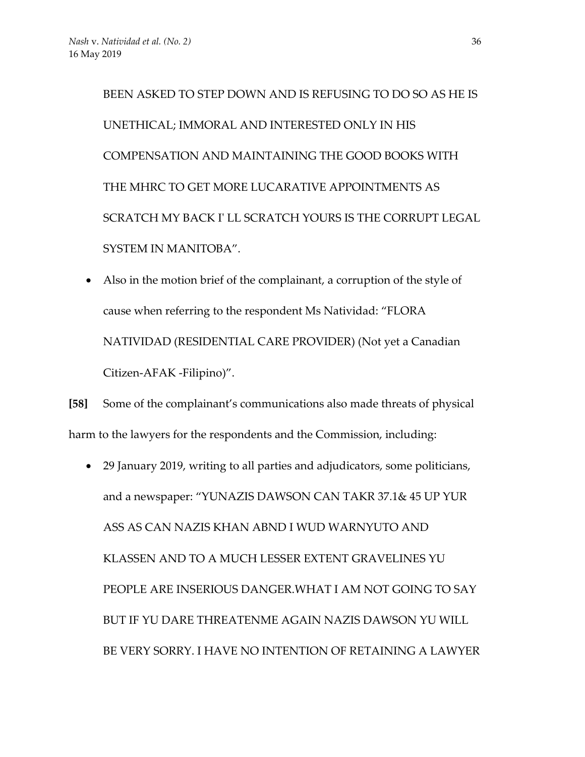BEEN ASKED TO STEP DOWN AND IS REFUSING TO DO SO AS HE IS UNETHICAL; IMMORAL AND INTERESTED ONLY IN HIS COMPENSATION AND MAINTAINING THE GOOD BOOKS WITH THE MHRC TO GET MORE LUCARATIVE APPOINTMENTS AS SCRATCH MY BACK I' LL SCRATCH YOURS IS THE CORRUPT LEGAL SYSTEM IN MANITOBA".

• Also in the motion brief of the complainant, a corruption of the style of cause when referring to the respondent Ms Natividad: "FLORA NATIVIDAD (RESIDENTIAL CARE PROVIDER) (Not yet a Canadian Citizen-AFAK -Filipino)".

**[58]** Some of the complainant's communications also made threats of physical harm to the lawyers for the respondents and the Commission, including:

• 29 January 2019, writing to all parties and adjudicators, some politicians, and a newspaper: "YUNAZIS DAWSON CAN TAKR 37.1& 45 UP YUR ASS AS CAN NAZIS KHAN ABND I WUD WARNYUTO AND KLASSEN AND TO A MUCH LESSER EXTENT GRAVELINES YU PEOPLE ARE INSERIOUS DANGER.WHAT I AM NOT GOING TO SAY BUT IF YU DARE THREATENME AGAIN NAZIS DAWSON YU WILL BE VERY SORRY. I HAVE NO INTENTION OF RETAINING A LAWYER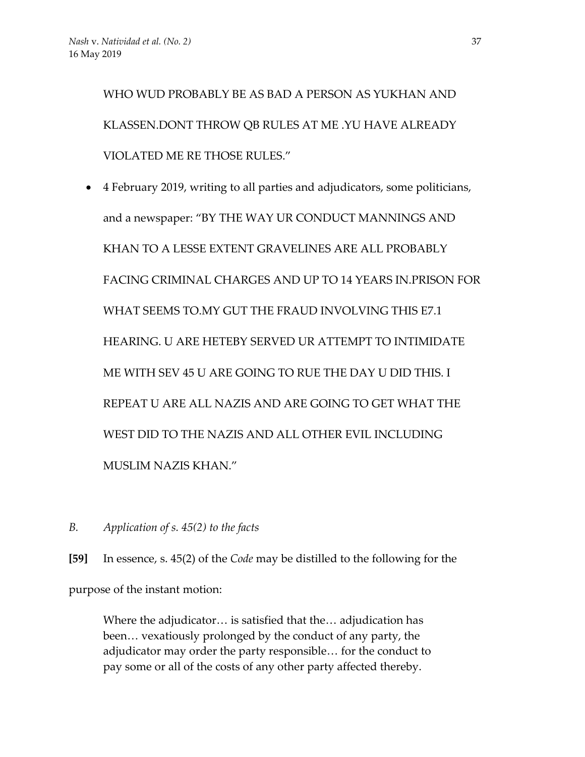WHO WUD PROBABLY BE AS BAD A PERSON AS YUKHAN AND KLASSEN.DONT THROW QB RULES AT ME .YU HAVE ALREADY VIOLATED ME RE THOSE RULES."

- 4 February 2019, writing to all parties and adjudicators, some politicians, and a newspaper: "BY THE WAY UR CONDUCT MANNINGS AND KHAN TO A LESSE EXTENT GRAVELINES ARE ALL PROBABLY FACING CRIMINAL CHARGES AND UP TO 14 YEARS IN.PRISON FOR WHAT SEEMS TO.MY GUT THE FRAUD INVOLVING THIS E7.1 HEARING. U ARE HETEBY SERVED UR ATTEMPT TO INTIMIDATE ME WITH SEV 45 U ARE GOING TO RUE THE DAY U DID THIS. I REPEAT U ARE ALL NAZIS AND ARE GOING TO GET WHAT THE WEST DID TO THE NAZIS AND ALL OTHER EVIL INCLUDING MUSLIM NAZIS KHAN."
- *B. Application of s. 45(2) to the facts*

**[59]** In essence, s. 45(2) of the *Code* may be distilled to the following for the purpose of the instant motion:

Where the adjudicator… is satisfied that the… adjudication has been… vexatiously prolonged by the conduct of any party, the adjudicator may order the party responsible… for the conduct to pay some or all of the costs of any other party affected thereby.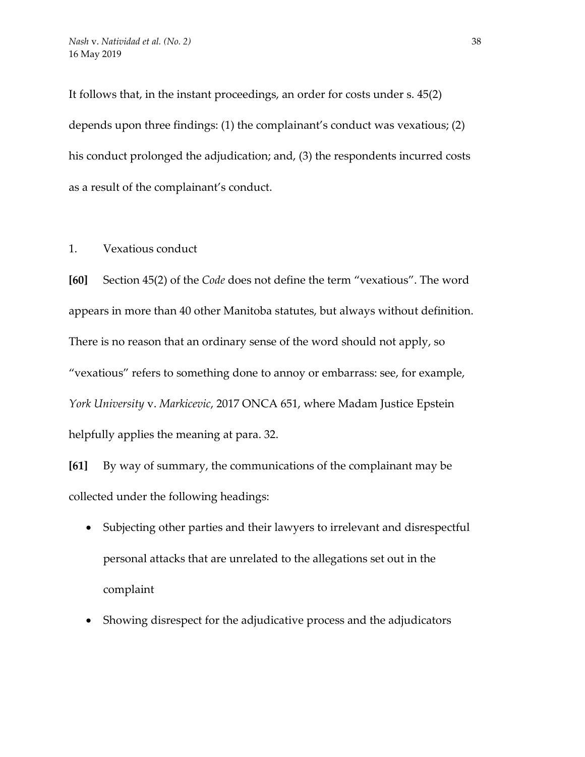It follows that, in the instant proceedings, an order for costs under s. 45(2) depends upon three findings: (1) the complainant's conduct was vexatious; (2) his conduct prolonged the adjudication; and, (3) the respondents incurred costs as a result of the complainant's conduct.

1. Vexatious conduct

**[60]** Section 45(2) of the *Code* does not define the term "vexatious". The word appears in more than 40 other Manitoba statutes, but always without definition. There is no reason that an ordinary sense of the word should not apply, so "vexatious" refers to something done to annoy or embarrass: see, for example, *York University* v. *Markicevic*, 2017 ONCA 651, where Madam Justice Epstein helpfully applies the meaning at para. 32.

**[61]** By way of summary, the communications of the complainant may be collected under the following headings:

- Subjecting other parties and their lawyers to irrelevant and disrespectful personal attacks that are unrelated to the allegations set out in the complaint
- Showing disrespect for the adjudicative process and the adjudicators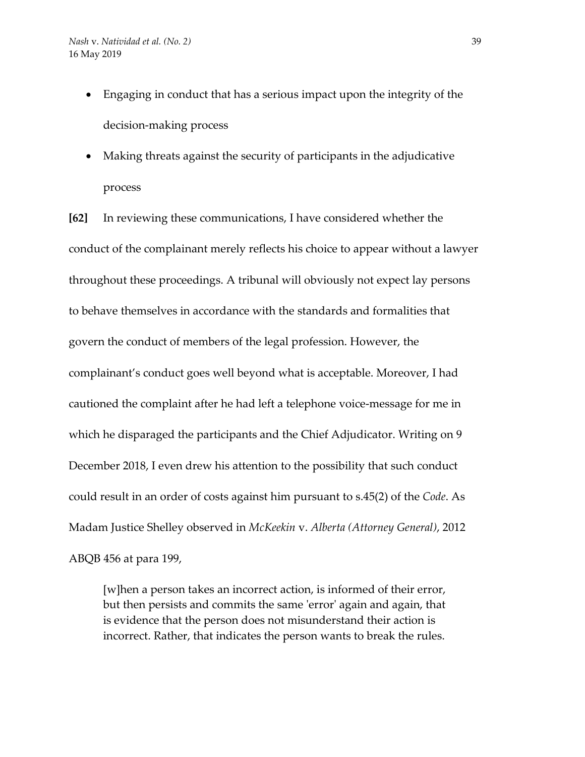- Engaging in conduct that has a serious impact upon the integrity of the decision-making process
- Making threats against the security of participants in the adjudicative process

**[62]** In reviewing these communications, I have considered whether the conduct of the complainant merely reflects his choice to appear without a lawyer throughout these proceedings. A tribunal will obviously not expect lay persons to behave themselves in accordance with the standards and formalities that govern the conduct of members of the legal profession. However, the complainant's conduct goes well beyond what is acceptable. Moreover, I had cautioned the complaint after he had left a telephone voice-message for me in which he disparaged the participants and the Chief Adjudicator. Writing on 9 December 2018, I even drew his attention to the possibility that such conduct could result in an order of costs against him pursuant to s.45(2) of the *Code*. As Madam Justice Shelley observed in *McKeekin* v. *Alberta (Attorney General)*, 2012 ABQB 456 at para 199,

[w]hen a person takes an incorrect action, is informed of their error, but then persists and commits the same 'error' again and again, that is evidence that the person does not misunderstand their action is incorrect. Rather, that indicates the person wants to break the rules.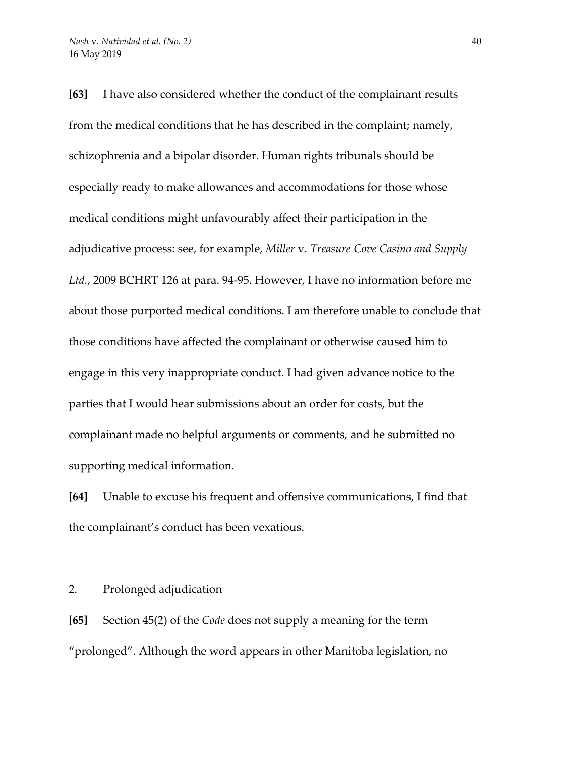**[63]** I have also considered whether the conduct of the complainant results from the medical conditions that he has described in the complaint; namely, schizophrenia and a bipolar disorder. Human rights tribunals should be especially ready to make allowances and accommodations for those whose medical conditions might unfavourably affect their participation in the adjudicative process: see, for example, *Miller* v. *Treasure Cove Casino and Supply Ltd.*, 2009 BCHRT 126 at para. 94-95. However, I have no information before me about those purported medical conditions. I am therefore unable to conclude that those conditions have affected the complainant or otherwise caused him to engage in this very inappropriate conduct. I had given advance notice to the parties that I would hear submissions about an order for costs, but the complainant made no helpful arguments or comments, and he submitted no supporting medical information.

**[64]** Unable to excuse his frequent and offensive communications, I find that the complainant's conduct has been vexatious.

2. Prolonged adjudication

**[65]** Section 45(2) of the *Code* does not supply a meaning for the term "prolonged". Although the word appears in other Manitoba legislation, no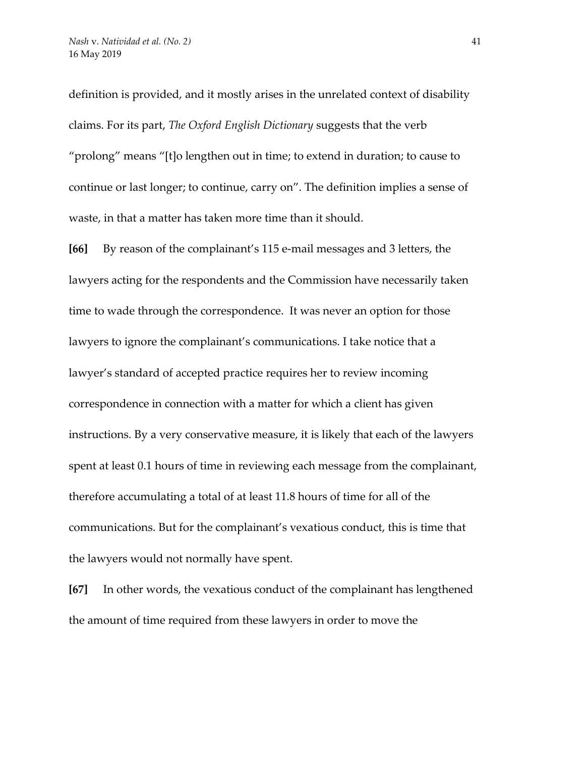definition is provided, and it mostly arises in the unrelated context of disability claims. For its part, *The Oxford English Dictionary* suggests that the verb "prolong" means "[t]o lengthen out in time; to extend in duration; to cause to continue or last longer; to continue, carry on". The definition implies a sense of waste, in that a matter has taken more time than it should.

**[66]** By reason of the complainant's 115 e-mail messages and 3 letters, the lawyers acting for the respondents and the Commission have necessarily taken time to wade through the correspondence. It was never an option for those lawyers to ignore the complainant's communications. I take notice that a lawyer's standard of accepted practice requires her to review incoming correspondence in connection with a matter for which a client has given instructions. By a very conservative measure, it is likely that each of the lawyers spent at least 0.1 hours of time in reviewing each message from the complainant, therefore accumulating a total of at least 11.8 hours of time for all of the communications. But for the complainant's vexatious conduct, this is time that the lawyers would not normally have spent.

**[67]** In other words, the vexatious conduct of the complainant has lengthened the amount of time required from these lawyers in order to move the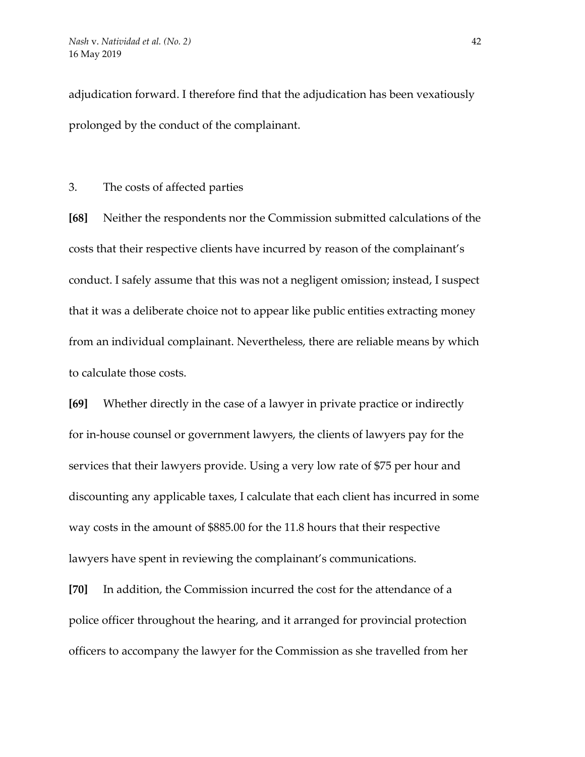adjudication forward. I therefore find that the adjudication has been vexatiously prolonged by the conduct of the complainant.

3. The costs of affected parties

**[68]** Neither the respondents nor the Commission submitted calculations of the costs that their respective clients have incurred by reason of the complainant's conduct. I safely assume that this was not a negligent omission; instead, I suspect that it was a deliberate choice not to appear like public entities extracting money from an individual complainant. Nevertheless, there are reliable means by which to calculate those costs.

**[69]** Whether directly in the case of a lawyer in private practice or indirectly for in-house counsel or government lawyers, the clients of lawyers pay for the services that their lawyers provide. Using a very low rate of \$75 per hour and discounting any applicable taxes, I calculate that each client has incurred in some way costs in the amount of \$885.00 for the 11.8 hours that their respective lawyers have spent in reviewing the complainant's communications.

**[70]** In addition, the Commission incurred the cost for the attendance of a police officer throughout the hearing, and it arranged for provincial protection officers to accompany the lawyer for the Commission as she travelled from her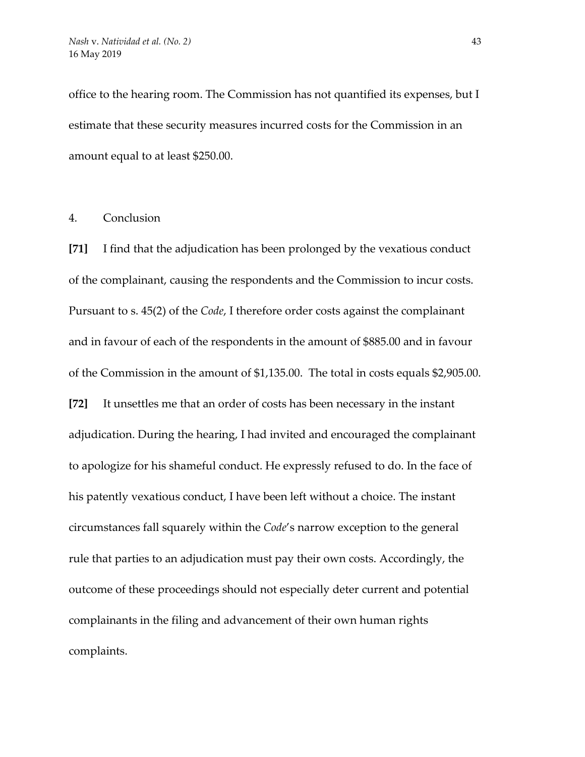office to the hearing room. The Commission has not quantified its expenses, but I estimate that these security measures incurred costs for the Commission in an amount equal to at least \$250.00.

#### 4. Conclusion

**[71]** I find that the adjudication has been prolonged by the vexatious conduct of the complainant, causing the respondents and the Commission to incur costs. Pursuant to s. 45(2) of the *Code*, I therefore order costs against the complainant and in favour of each of the respondents in the amount of \$885.00 and in favour of the Commission in the amount of \$1,135.00. The total in costs equals \$2,905.00. **[72]** It unsettles me that an order of costs has been necessary in the instant adjudication. During the hearing, I had invited and encouraged the complainant to apologize for his shameful conduct. He expressly refused to do. In the face of his patently vexatious conduct, I have been left without a choice. The instant circumstances fall squarely within the *Code*'s narrow exception to the general rule that parties to an adjudication must pay their own costs. Accordingly, the outcome of these proceedings should not especially deter current and potential complainants in the filing and advancement of their own human rights complaints.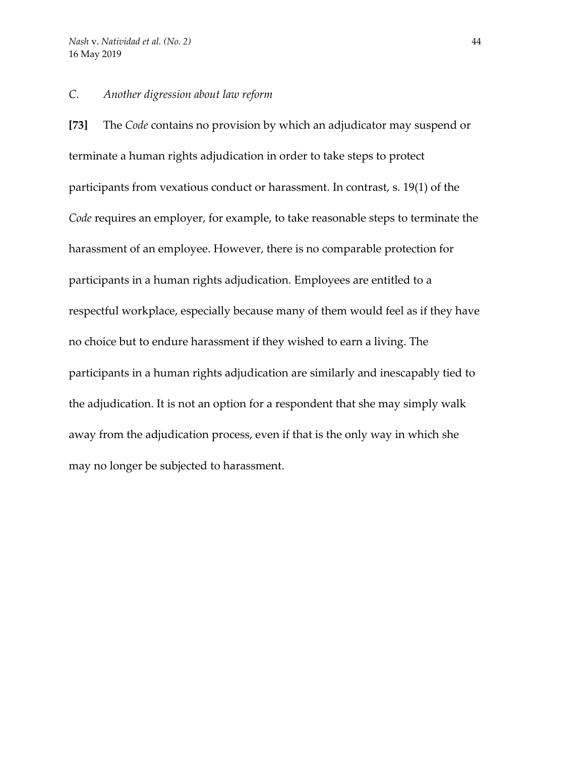## *C. Another digression about law reform*

**[73]** The *Code* contains no provision by which an adjudicator may suspend or terminate a human rights adjudication in order to take steps to protect participants from vexatious conduct or harassment. In contrast, s. 19(1) of the *Code* requires an employer, for example, to take reasonable steps to terminate the harassment of an employee. However, there is no comparable protection for participants in a human rights adjudication. Employees are entitled to a respectful workplace, especially because many of them would feel as if they have no choice but to endure harassment if they wished to earn a living. The participants in a human rights adjudication are similarly and inescapably tied to the adjudication. It is not an option for a respondent that she may simply walk away from the adjudication process, even if that is the only way in which she may no longer be subjected to harassment.